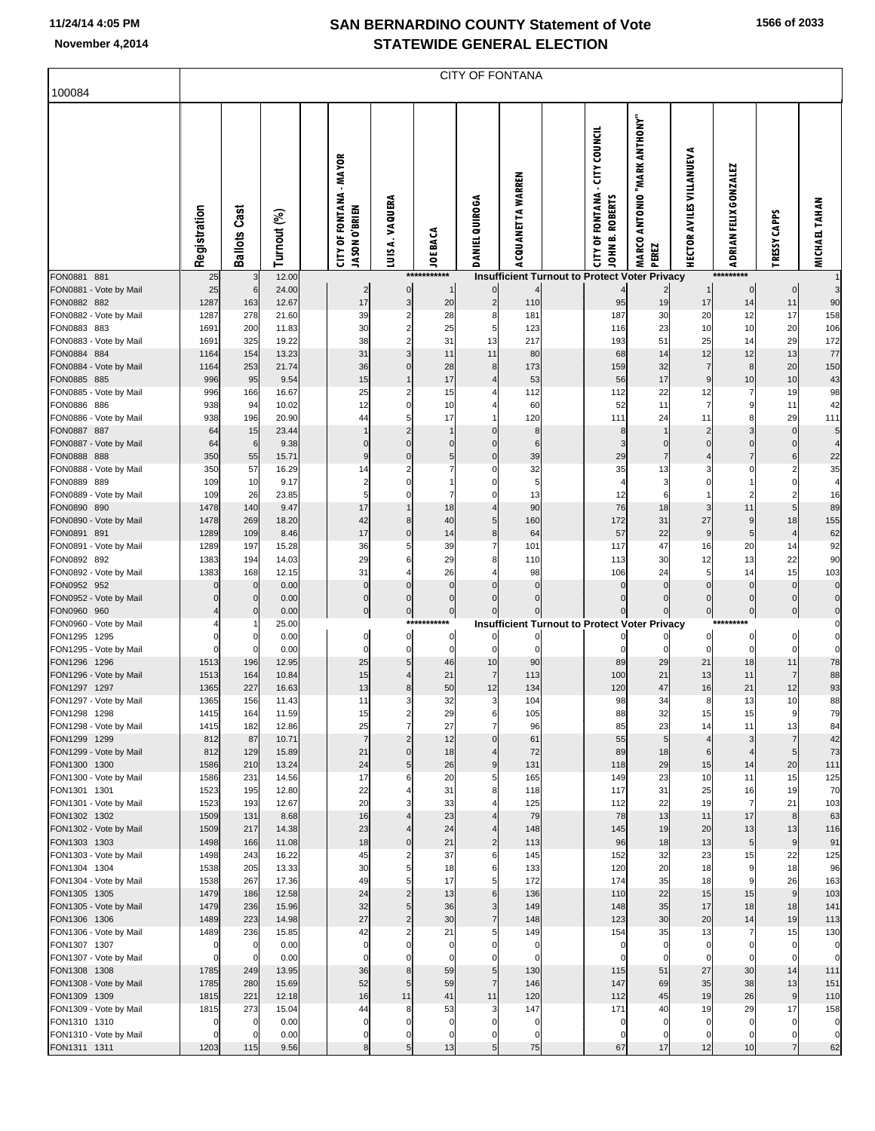|  |  | 1566 of 2033 |
|--|--|--------------|
|--|--|--------------|

| 100084                                 |              | CITY OF FONTANA            |                |  |                                                        |                        |                             |                                     |                   |  |                                                                     |                                         |                                    |                         |                            |                            |
|----------------------------------------|--------------|----------------------------|----------------|--|--------------------------------------------------------|------------------------|-----------------------------|-------------------------------------|-------------------|--|---------------------------------------------------------------------|-----------------------------------------|------------------------------------|-------------------------|----------------------------|----------------------------|
|                                        |              |                            |                |  |                                                        |                        |                             |                                     |                   |  |                                                                     |                                         |                                    |                         |                            |                            |
|                                        | Registration | <b>Ballots Cast</b>        | Turnout (%)    |  | <b>CITY OF FONTANA - MAYOR</b><br><b>UASON O'BRIEN</b> | LUIS A. VAQUERA        | <b>JOE BACA</b>             | <b>DANIEL QUIROGA</b>               | ACQUANETTA WARREN |  | - CITY COUNCIL<br><b>CITY OF FONTANA</b><br>JOHN B. ROBERTS         | "YMOHTMA NARK ANTHONY<br>MARCO<br>PEREZ | <b>HECTOR AVILES VILLANUEVA</b>    | ADRIAN FELIX GONZALEZ   | <b>CAPPS</b><br>TRESSY     | <b>MICHAEL TAHAN</b>       |
| FON0881 881<br>FON0881 - Vote by Mail  | 25<br>25     | 3<br>6                     | 12.00<br>24.00 |  | $\overline{c}$                                         | 0                      | ***********<br>$\mathbf{1}$ | $\overline{0}$                      |                   |  | Insufficient Turnout to Protect Voter Privacy                       |                                         |                                    | *********<br>$\bf{0}$   | $\pmb{0}$                  | 3                          |
| FON0882 882                            | 1287         | 163                        | 12.67          |  | 17                                                     | 3                      | 20                          | $\mathbf{2}$                        | 110               |  | 95                                                                  | 19                                      | 17                                 | 14                      | 11                         | 90                         |
| FON0882 - Vote by Mail<br>FON0883 883  | 1287<br>1691 | 278<br>200                 | 21.60<br>11.83 |  | 39<br>30                                               | 2<br>2                 | 28<br>25                    | 8<br>5                              | 181<br>123        |  | 187<br>116                                                          | 30<br>23                                | 20<br>10                           | 12<br>10                | 17<br>20                   | 158                        |
| FON0883 - Vote by Mail                 | 1691         | 325                        | 19.22          |  | 38                                                     | 2                      | 31                          | 13                                  | 217               |  | 193                                                                 | 51                                      | 25                                 | 14                      | 29                         | 106<br>172                 |
| FON0884 884                            | 1164         | 154                        | 13.23          |  | 31                                                     | 3                      | 11                          | 11                                  | 80                |  | 68                                                                  | 14                                      | 12                                 | 12                      | 13                         | 77                         |
| FON0884 - Vote by Mail<br>FON0885 885  | 1164<br>996  | 253<br>95                  | 21.74<br>9.54  |  | 36<br>15                                               | 0<br>1                 | 28<br>17                    | 8<br>4                              | 173<br>53         |  | 159<br>56                                                           | 32<br>17                                | $\overline{7}$<br>$\boldsymbol{9}$ | 8<br>10                 | 20<br>10                   | 150<br>43                  |
| FON0885 - Vote by Mail                 | 996          | 166                        | 16.67          |  | 25                                                     | 2                      | 15                          |                                     | 112               |  | 112                                                                 | 22                                      | 12                                 |                         | 19                         | 98                         |
| FON0886 886                            | 938          | 94                         | 10.02          |  | 12                                                     | 0                      | 10                          |                                     | 60                |  | 52                                                                  | 11                                      | $\overline{7}$                     | 9                       | 11                         | 42                         |
| FON0886 - Vote by Mail<br>FON0887 887  | 938<br>64    | 196<br>15                  | 20.90<br>23.44 |  | 44                                                     | 5<br>$\overline{2}$    | 17                          | $\mathbf 0$                         | 120<br>8          |  | 111<br>8                                                            | 24                                      | 11<br>$\overline{2}$               | 8<br>3                  | 29<br>$\mathbf 0$          | 111<br>5                   |
| FON0887 - Vote by Mail                 | 64           | 6                          | 9.38           |  | 0                                                      | 0                      | $\mathbf 0$                 | $\mathbf 0$                         | 6                 |  | 3                                                                   | $\pmb{0}$                               | $\mathbf 0$                        | $\mathbf 0$             | $\mathbf 0$                | 4                          |
| FON0888 888                            | 350          | 55                         | 15.71          |  |                                                        | 0                      | 5<br>7                      | $\mathbf 0$                         | 39                |  | 29                                                                  | $\overline{7}$                          | $\overline{4}$                     | $\overline{7}$<br>O     | 6<br>$\overline{2}$        | 22                         |
| FON0888 - Vote by Mail<br>FON0889 889  | 350<br>109   | 57<br>10                   | 16.29<br>9.17  |  | 14<br>2                                                | 2<br>0                 |                             | 0<br>0                              | 32<br>5           |  | 35<br>$\overline{4}$                                                | 13<br>3                                 | 3<br>$\mathbf 0$                   |                         | $\Omega$                   | 35<br>4                    |
| FON0889 - Vote by Mail                 | 109          | 26                         | 23.85          |  | 5                                                      | 0                      | 7                           | 0                                   | 13                |  | 12                                                                  | 6                                       | $\mathbf{1}$                       | 2                       | $\overline{2}$             | 16                         |
| FON0890 890<br>FON0890 - Vote by Mail  | 1478<br>1478 | 140<br>269                 | 9.47           |  | 17<br>42                                               | 8                      | 18<br>40                    | 4<br>5 <sub>l</sub>                 | 90<br>160         |  | 76<br>172                                                           | 18<br>31                                | 3<br>27                            | 11<br>9                 | 5<br>18                    | 89                         |
| FON0891 891                            | 1289         | 109                        | 18.20<br>8.46  |  | 17                                                     | 0                      | 14                          | 8 <sup>1</sup>                      | 64                |  | 57                                                                  | 22                                      | 9                                  | 5                       | $\overline{4}$             | 155<br>62                  |
| FON0891 - Vote by Mail                 | 1289         | 197                        | 15.28          |  | 36                                                     | 5                      | 39                          | 7                                   | 101               |  | 117                                                                 | 47                                      | 16                                 | 20                      | 14                         | 92                         |
| FON0892 892<br>FON0892 - Vote by Mail  | 1383<br>1383 | 194<br>168                 | 14.03<br>12.15 |  | 29<br>31                                               | 6<br>4                 | 29<br>26                    | 8                                   | 110<br>98         |  | 113<br>106                                                          | 30<br>24                                | 12<br>5                            | 13<br>14                | 22<br>15                   | 90<br>103                  |
| FON0952 952                            |              | $\mathbf 0$                | 0.00           |  | C                                                      | 0                      | $\mathbf 0$                 | $\Omega$                            | 0                 |  | $\mathbf 0$                                                         | $\mathbf 0$                             | $\mathbf 0$                        | $\Omega$                | $\mathbf 0$                | $\mathbf 0$                |
| FON0952 - Vote by Mail                 |              | $\mathbf 0$                | 0.00           |  | 0                                                      | 0                      | $\pmb{0}$                   | $\Omega$                            | $\mathbf 0$       |  | $\pmb{0}$                                                           | $\pmb{0}$                               | $\mathbf 0$                        | $\pmb{0}$               | $\bf 0$                    | $\pmb{0}$                  |
| FON0960 960<br>FON0960 - Vote by Mail  |              | $\mathbf 0$                | 0.00<br>25.00  |  | 0                                                      | $\overline{0}$<br>**** | $\pmb{0}$                   |                                     |                   |  | $\mathbf 0$<br><b>Insufficient Turnout to Protect Voter Privacy</b> |                                         | $\pmb{0}$                          | $\pmb{0}$               | $\pmb{0}$                  | $\pmb{0}$<br>0             |
| FON1295 1295                           |              | 0                          | 0.00           |  | 0                                                      | $\pmb{0}$              | 0                           |                                     |                   |  |                                                                     |                                         | 0                                  | 0                       | $\pmb{0}$                  | $\pmb{0}$                  |
| FON1295 - Vote by Mail                 |              | $\Omega$                   | 0.00           |  | 0                                                      | 0                      | $\mathbf 0$                 | $\Omega$                            |                   |  | 0                                                                   | $\mathbf 0$                             | $\mathbf 0$                        | $\Omega$                | $\mathbf 0$                | $\mathbf 0$                |
| FON1296 1296<br>FON1296 - Vote by Mail | 1513<br>1513 | 196<br>164                 | 12.95<br>10.84 |  | 25<br>15                                               | 5<br>4                 | 46<br>21                    | 10<br>7                             | 90<br>113         |  | 89<br>100                                                           | 29<br>21                                | 21<br>13                           | 18<br>11                | 11<br>$\overline{7}$       | 78<br>88                   |
| FON1297 1297                           | 1365         | 227                        | 16.63          |  | 13                                                     | 8                      | 50                          | 12                                  | 134               |  | 120                                                                 | 47                                      | 16                                 | 21                      | 12                         | 93                         |
| FON1297 - Vote by Mail<br>FON1298 1298 | 1365<br>1415 | 156                        | 11.43<br>11.59 |  | 11                                                     | 3<br>2                 | 32<br>29                    | $\mathbf{3}$<br>6                   | 104               |  | 98<br>88                                                            | 34<br>32                                | 8<br>15                            | 13                      | 10<br>9                    | 88<br>79                   |
| FON1298 - Vote by Mail                 | 1415         | 164<br>182                 | 12.86          |  | 15<br>25                                               | $\overline{7}$         | 27                          | 7                                   | 105<br>96         |  | 85                                                                  | 23                                      | 14                                 | 15<br>11                | 13                         | 84                         |
| FON1299 1299                           | 812          | 87                         | 10.71          |  | $\overline{7}$                                         | $\overline{2}$         | 12                          | $\mathbf{0}$                        | 61                |  | 55                                                                  | 5                                       | $\overline{A}$                     | 3                       | $\overline{7}$             | 42                         |
| FON1299 - Vote by Mail<br>FON1300 1300 | 812<br>1586  | 129<br>210                 | 15.89<br>13.24 |  | 21<br>24                                               | $\pmb{0}$<br>5         | 18<br>26                    | 4<br>9                              | 72<br>131         |  | 89<br>118                                                           | 18<br>29                                | 6<br>15                            | $\overline{4}$<br>14    | 5<br>20                    | 73<br>111                  |
| FON1300 - Vote by Mail                 | 1586         | 231                        | 14.56          |  | 17                                                     | 6                      | 20                          | 5                                   | 165               |  | 149                                                                 | 23                                      | 10                                 | 11                      | 15                         | 125                        |
| FON1301 1301                           | 1523         | 195                        | 12.80          |  | 22                                                     | 4                      | 31                          | 8                                   | 118               |  | 117                                                                 | 31                                      | 25                                 | 16                      | 19                         | 70                         |
| FON1301 - Vote by Mail<br>FON1302 1302 | 1523<br>1509 | 193<br>131                 | 12.67<br>8.68  |  | 20<br>16                                               | 3<br>4                 | 33<br>23                    | 4                                   | 125<br>79         |  | 112<br>78                                                           | 22<br>13                                | 19<br>11                           | $\overline{7}$<br>17    | 21<br>$\bf8$               | 103<br>63                  |
| FON1302 - Vote by Mail                 | 1509         | 217                        | 14.38          |  | 23                                                     | 4                      | 24                          | 4                                   | 148               |  | 145                                                                 | 19                                      | 20                                 | 13                      | 13                         | 116                        |
| FON1303 1303                           | 1498         | 166                        | 11.08          |  | 18                                                     | $\mathbf 0$            | 21                          | $\overline{2}$                      | 113               |  | 96                                                                  | 18                                      | 13                                 | 5                       | $\boldsymbol{9}$           | 91                         |
| FON1303 - Vote by Mail<br>FON1304 1304 | 1498<br>1538 | 243<br>205                 | 16.22<br>13.33 |  | 45<br>30                                               | 2<br>5                 | 37<br>18                    | 6<br>6                              | 145<br>133        |  | 152<br>120                                                          | 32<br>20                                | 23<br>18                           | 15<br>9                 | 22<br>18                   | 125<br>96                  |
| FON1304 - Vote by Mail                 | 1538         | 267                        | 17.36          |  | 49                                                     | 5                      | 17                          | $5 \mid$                            | 172               |  | 174                                                                 | 35                                      | 18                                 | 9                       | 26                         | 163                        |
| FON1305 1305<br>FON1305 - Vote by Mail | 1479<br>1479 | 186<br>236                 | 12.58<br>15.96 |  | 24<br>32                                               | $\overline{2}$<br>5    | 13<br>36                    | $6 \mid$<br>$\overline{\mathbf{3}}$ | 136<br>149        |  | 110<br>148                                                          | 22<br>35                                | 15<br>17                           | 15<br>18                | $\boldsymbol{9}$<br>18     | 103<br>141                 |
| FON1306 1306                           | 1489         | 223                        | 14.98          |  | 27                                                     | $\overline{c}$         | 30                          | $\overline{7}$                      | 148               |  | 123                                                                 | 30                                      | 20                                 | 14                      | 19                         | 113                        |
| FON1306 - Vote by Mail                 | 1489         | 236                        | 15.85          |  | 42                                                     | 2                      | 21                          | 5                                   | 149               |  | 154                                                                 | 35                                      | 13                                 | 7                       | 15                         | 130                        |
| FON1307 1307<br>FON1307 - Vote by Mail | 0<br>C       | $\mathbf 0$<br>$\mathbf 0$ | 0.00<br>0.00   |  | 0<br>0                                                 | 0<br>0                 | 0<br>0                      | 0<br>0                              | 0<br>$\mathbf 0$  |  | $\mathbf 0$<br>$\mathbf 0$                                          | 0<br>0                                  | $\pmb{0}$<br>$\mathbf 0$           | $\mathbf 0$<br>$\Omega$ | $\mathbf 0$<br>$\mathbf 0$ | $\mathbf 0$<br>$\mathbf 0$ |
| FON1308 1308                           | 1785         | 249                        | 13.95          |  | 36                                                     | 8                      | 59                          | 5 <sub>l</sub>                      | 130               |  | 115                                                                 | 51                                      | 27                                 | 30                      | 14                         | 111                        |
| FON1308 - Vote by Mail                 | 1785         | 280                        | 15.69          |  | 52                                                     | 5                      | 59                          | 7                                   | 146               |  | 147                                                                 | 69                                      | 35                                 | 38                      | 13                         | 151                        |
| FON1309 1309<br>FON1309 - Vote by Mail | 1815<br>1815 | 221<br>273                 | 12.18<br>15.04 |  | 16<br>44                                               | 11<br>8                | 41<br>53                    | 11<br>3                             | 120<br>147        |  | 112<br>171                                                          | 45<br>40                                | 19<br>19                           | 26<br>29                | $\boldsymbol{9}$<br>17     | 110<br>158                 |
| FON1310 1310                           |              | $\mathbf 0$                | 0.00           |  | 0                                                      | 0                      | 0                           | 0                                   | 0                 |  | $\mathbf 0$                                                         | $\mathbf 0$                             | $\mathbf 0$                        | $\Omega$                | $\mathbf 0$                | $\pmb{0}$                  |
| FON1310 - Vote by Mail                 |              | $\mathbf 0$                | 0.00           |  | 0                                                      | 0                      | 0                           | 0                                   | 0                 |  | $\mathbf 0$<br>67                                                   | $\mathbf 0$<br>17                       | $\mathbf 0$                        | 0<br>10                 | 0<br>$\overline{7}$        | $\overline{0}$             |
| FON1311 1311                           | 1203         | 115                        | 9.56           |  | 8                                                      | 5                      | 13                          | 5 <sub>l</sub>                      | 75                |  |                                                                     |                                         | 12                                 |                         |                            | 62                         |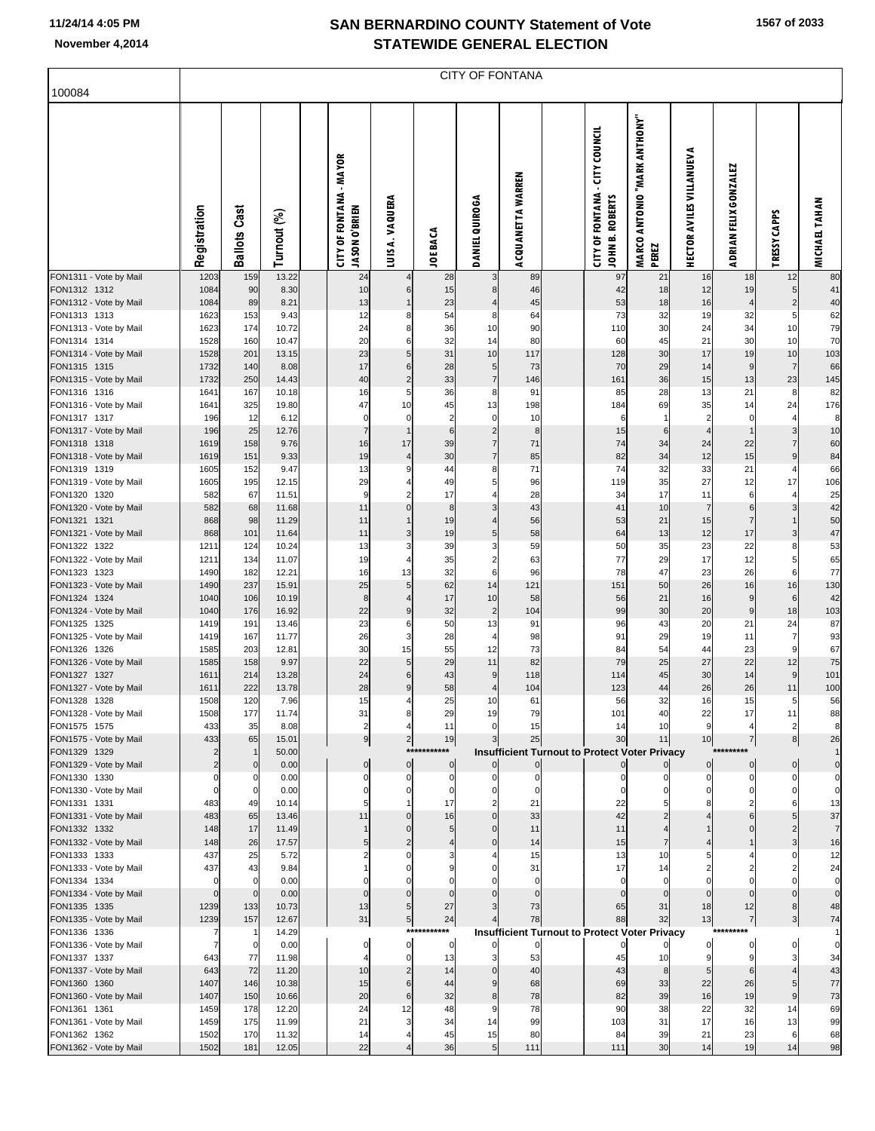# **SAN BERNARDINO COUNTY Statement of Vote**

| November 4,2014                        | <b>STATEWIDE GENERAL ELECTION</b> |                        |                |  |                                                          |                 |                 |                        |                          |  |                                                                                |                                                           |                                 |                       |                |                      |
|----------------------------------------|-----------------------------------|------------------------|----------------|--|----------------------------------------------------------|-----------------|-----------------|------------------------|--------------------------|--|--------------------------------------------------------------------------------|-----------------------------------------------------------|---------------------------------|-----------------------|----------------|----------------------|
| 100084                                 |                                   |                        |                |  |                                                          |                 |                 | <b>CITY OF FONTANA</b> |                          |  |                                                                                |                                                           |                                 |                       |                |                      |
|                                        | Registration                      | Cast<br><b>Ballots</b> | Turnout (%)    |  | - MAYOR<br><b>CITY OF FONTANA</b><br><b>USON O'BRIEN</b> | LUIS A. VAQUERA | <b>JOE BACA</b> | DANIEL QUIROGA         | <b>ACQUANETTA WARREN</b> |  | <b>CITY COUNCIL</b><br><b>OF FONTANA</b><br>JOHN B. ROBERTS<br>$\widetilde{E}$ | "MARK ANTHONY"<br><b>ANTONIO</b><br><b>MARCO</b><br>PEREZ | <b>HECTOR AVILES VILLANUEVA</b> | ADRIAN FELIX GONZALEZ | TRESSY CAPPS   | <b>MICHAEL TAHAN</b> |
| FON1311 - Vote by Mail<br>FON1312 1312 | 1203<br>1084                      | 159<br>90              | 13.22<br>8.30  |  | 24<br>10                                                 | 6               | 28<br>15        | 3<br>8                 | 89<br>46                 |  | 97<br>42                                                                       | 21<br>18                                                  | 16<br>12                        | 18<br>19              | 12<br>5        | 80<br>41             |
| FON1312 - Vote by Mail                 | 1084                              | 89                     | 8.21           |  | 13                                                       |                 | 23              |                        | 45                       |  | 53                                                                             | 18                                                        | 16                              |                       | $\overline{2}$ | 40                   |
| FON1313 1313                           | 1623                              | 153                    | 9.43           |  | 12                                                       | 8               | 54              | 8                      | 64                       |  | 73                                                                             | 32                                                        | 19                              | 32                    | 5              | 62                   |
| FON1313 - Vote by Mail                 | 1623                              | 174                    | 10.72          |  | 24                                                       |                 | 36              | 10                     | 90                       |  | 110                                                                            | 30                                                        | 24                              | 34                    | 10             | 79                   |
| FON1314 1314                           | 1528                              | 160                    | 10.47          |  | 20                                                       | 6               | 32              | 14                     | 80                       |  | 60                                                                             | 45                                                        | 21                              | 30                    | 10             | 70                   |
| FON1314 - Vote by Mail                 | 1528                              | 201                    | 13.15          |  | 23                                                       | 5               | 31              | 10                     | 117                      |  | 128                                                                            | 30                                                        | 17                              | 19                    | 10             | 103                  |
| FON1315 1315                           | 1732                              | 140                    | 8.08           |  | 17                                                       | 6               | 28              | 5                      | 73                       |  | 70                                                                             | 29                                                        | 14                              | 9                     | $\overline{7}$ | 66                   |
| FON1315 - Vote by Mail                 | 1732                              | 250                    | 14.43          |  | 40                                                       | $\overline{2}$  | 33              | $\overline{7}$         | 146                      |  | 161                                                                            | 36                                                        | 15                              | 13                    | 23             | 145                  |
| FON1316 1316                           | 1641                              | 167                    | 10.18          |  | 16                                                       | 5               | 36              | 8                      | 91                       |  | 85                                                                             | 28                                                        | 13                              | 21                    | 8              | 82                   |
| FON1316 - Vote by Mail                 | 1641                              | 325                    | 19.80          |  | 47                                                       | 10              | 45              | 13                     | 198                      |  | 184                                                                            | 69                                                        | 35                              | 14                    | 24             | 176                  |
| FON1317 1317                           | 196                               | 12                     | 6.12           |  | $\Omega$                                                 | $\Omega$        | 2               | $\Omega$               | 10                       |  | 6                                                                              |                                                           | $\overline{c}$                  | $\Omega$              |                | 8                    |
| FON1317 - Vote by Mail                 | 196                               | 25                     | 12.76          |  | $\overline{7}$                                           |                 | 6               | $\overline{2}$         | 8                        |  | 15                                                                             | 6                                                         |                                 |                       | 3              | 10                   |
| FON1318 1318                           | 1619                              | 158                    | 9.76           |  | 16                                                       | 17              | 39              |                        | 71                       |  | 74                                                                             | 34                                                        | 24                              | 22                    |                | 60                   |
| FON1318 - Vote by Mail                 | 1619                              | 151                    | 9.33           |  | 19                                                       | $\overline{4}$  | 30              | 7                      | 85                       |  | 82                                                                             | 34                                                        | 12                              | 15                    | $\mathbf{Q}$   | 84                   |
| FON1319 1319                           | 1605                              | 152                    | 9.47           |  | 13                                                       |                 | 44              | 8<br>5                 | 71                       |  | 74                                                                             | 32                                                        | 33                              | 21                    |                | 66                   |
| FON1319 - Vote by Mail                 | 1605                              | 195<br>67              | 12.15<br>11.51 |  | 29<br>9                                                  |                 | 49<br>17        |                        | 96<br>28                 |  | 119<br>34                                                                      | 35<br>17                                                  | 27<br>11                        | 12<br>6               | 17             | 106<br>25            |
| FON1320 1320<br>FON1320 - Vote by Mail | 582<br>582                        | 68                     | 11.68          |  | 11                                                       |                 | 8               |                        | 43                       |  | 41                                                                             | 10                                                        | $\overline{7}$                  | 6                     |                | 42                   |
| FON1321 1321                           | 868                               | 98                     | 11.29          |  | 11                                                       |                 | 19              |                        | 56                       |  | 53                                                                             | 21                                                        | 15                              |                       |                | 50                   |
| FON1321 - Vote by Mail                 | 868                               | 101                    | 11.64          |  | 11                                                       | 3               | 19              | 5                      | 58                       |  | 64                                                                             | 13                                                        | 12                              | 17                    | 3              | 47                   |
| FON1322 1322                           | 1211                              | 124                    | 10.24          |  | 13                                                       |                 | 39              |                        | 59                       |  | 50                                                                             | 35                                                        | 23                              | 22                    |                | 53                   |
| FON1322 - Vote by Mail                 | 1211                              | 134                    | 11.07          |  | 19                                                       |                 | 35              |                        | 63                       |  | 77                                                                             | 29                                                        | 17                              | 12                    |                | 65                   |
| FON1323 1323                           | 1490                              | 182                    | 12.21          |  | 16                                                       | 13              | 32              | 6                      | 96                       |  | 78                                                                             | 47                                                        | 23                              | 26                    | 6              | 77                   |
| FON1323 - Vote by Mail                 | 1490                              | 237                    | 15.91          |  | 25                                                       |                 | 62              | 14                     | 121                      |  | 151                                                                            | 50                                                        | 26                              | 16                    | 16             | 130                  |
| FON1324 1324                           | 1040                              | 106                    | 10.19          |  | 8                                                        |                 | 17              | 10                     | 58                       |  | 56                                                                             | 21                                                        | 16                              | 9                     | 6              | 42                   |
| FON1324 - Vote by Mail                 | 1040                              | 176                    | 16.92          |  | 22                                                       |                 | 32              | $\overline{2}$         | 104                      |  | 99                                                                             | 30                                                        | 20                              | 9                     | 18             | 103                  |
| FON1325 1325                           | 1419                              | 191                    | 13.46          |  | 23                                                       | 6               | 50              | 13                     | 91                       |  | 96                                                                             | 43                                                        | 20                              | 21                    | 24             | 87                   |
| FON1325 - Vote by Mail                 | 1419                              | 167                    | 1177           |  | 26                                                       |                 | 28              |                        | <b>QR</b>                |  | Q <sub>1</sub>                                                                 | 29                                                        | 19                              | 11                    | $\overline{7}$ | 93                   |

| FON1323 - Vote by Mail | 1490     | 237 | 15.91 | 25             |                | 62           | 14             | 121                                                  | 151 | 50 | 26 | 16        | 16 | 130 |
|------------------------|----------|-----|-------|----------------|----------------|--------------|----------------|------------------------------------------------------|-----|----|----|-----------|----|-----|
| FON1324 1324           | 1040     | 106 | 10.19 | 8              |                | 17           | 10             | 58                                                   | 56  | 21 | 16 |           | 6  | 42  |
| FON1324 - Vote by Mail | 1040     | 176 | 16.92 | 22             |                | 32           | $\overline{2}$ | 104                                                  | 99  | 30 | 20 |           | 18 | 103 |
| FON1325 1325           | 1419     | 191 | 13.46 | 23             |                | 50           | 13             | 91                                                   | 96  | 43 | 20 | 21        | 24 | 87  |
| FON1325 - Vote by Mail | 1419     | 167 | 11.77 | 26             |                | 28           |                | 98                                                   | 91  | 29 | 19 | 11        |    | 93  |
| FON1326 1326           | 1585     | 203 | 12.81 | 30             | 15             | 55           | 12             | 73                                                   | 84  | 54 | 44 | 23        |    | 67  |
| FON1326 - Vote by Mail | 1585     | 158 | 9.97  | 22             | 5              | 29           | 11             | 82                                                   | 79  | 25 | 27 | 22        | 12 | 75  |
| FON1327 1327           | 1611     | 214 | 13.28 | 24             |                | 43           |                | 118                                                  | 114 | 45 | 30 | 14        | 9  | 101 |
| FON1327 - Vote by Mail | 1611     | 222 | 13.78 | 28             |                | 58           |                | 104                                                  | 123 | 44 | 26 | 26        | 11 | 100 |
| FON1328 1328           | 1508     | 120 | 7.96  | 15             |                | 25           | 10             | 61                                                   | 56  | 32 | 16 | 15        | 5  | 56  |
| FON1328 - Vote by Mail | 1508     | 177 | 11.74 | 31             |                | 29           | 19             | 79                                                   | 101 | 40 | 22 | 17        | 11 | 88  |
| FON1575 1575           | 433      | 35  | 8.08  | $\overline{2}$ |                | 11           |                | 15                                                   | 14  | 10 |    |           |    | 8   |
| FON1575 - Vote by Mail | 433      | 65  | 15.01 | 9              |                | 19           |                | 25                                                   | 30  | 11 | 10 |           |    | 26  |
| FON1329 1329           |          |     | 50.00 |                |                | ***********  |                | <b>Insufficient Turnout to Protect Voter Privacy</b> |     |    |    | ********* |    |     |
| FON1329 - Vote by Mail |          |     | 0.00  |                | $\mathbf 0$    | $\mathbf{0}$ |                |                                                      |     |    |    |           |    |     |
| FON1330 1330           |          |     | 0.00  |                | C              |              |                |                                                      |     |    |    |           |    |     |
| FON1330 - Vote by Mail |          |     | 0.00  |                |                |              |                |                                                      |     |    |    |           |    |     |
| FON1331 1331           | 483      | 49  | 10.14 |                |                | 17           |                | 21                                                   | 22  |    |    |           |    | 13  |
| FON1331 - Vote by Mail | 483      | 65  | 13.46 | 11             |                | 16           |                | 33                                                   | 42  |    |    |           |    | 37  |
| FON1332 1332           | 148      | 17  | 11.49 |                |                |              |                | 11                                                   | 11  |    |    |           |    |     |
| FON1332 - Vote by Mail | 148      | 26  | 17.57 |                |                |              |                | 14                                                   | 15  |    |    |           |    | 16  |
| FON1333 1333           | 437      | 25  | 5.72  |                |                |              |                | 15                                                   | 13  | 10 |    |           |    | 12  |
| FON1333 - Vote by Mail | 437      | 43  | 9.84  |                |                |              |                | 31                                                   | 17  | 14 |    |           |    | 24  |
| FON1334 1334           | $\Omega$ |     | 0.00  |                |                |              |                | $\Omega$                                             |     |    |    |           |    |     |
| FON1334 - Vote by Mail | $\Omega$ |     | 0.00  |                |                |              |                |                                                      |     |    |    |           |    |     |
| FON1335 1335           | 1239     | 133 | 10.73 | 13             |                | 27           |                | 73                                                   | 65  | 31 | 18 | 12        |    | 48  |
| FON1335 - Vote by Mail | 1239     | 157 | 12.67 | 31             | 5 <sub>l</sub> | 24           |                | 78                                                   | 88  | 32 | 13 |           |    | 74  |
| FON1336 1336           |          |     | 14.29 |                |                | ***********  |                | <b>Insufficient Turnout to Protect Voter Privacy</b> |     |    |    | ********* |    |     |
| FON1336 - Vote by Mail |          |     | 0.00  |                |                | $\Omega$     |                | $\Omega$                                             |     |    |    |           |    |     |
| FON1337 1337           | 643      | 77  | 11.98 |                |                | 13           |                | 53                                                   | 45  | 10 |    |           |    | 34  |
| FON1337 - Vote by Mail | 643      | 72  | 11.20 | 10             |                | 14           |                | 40                                                   | 43  |    |    |           |    | 43  |
| FON1360 1360           | 1407     | 146 | 10.38 | 15             |                | 44           |                | 68                                                   | 69  | 33 | 22 | 26        |    | 77  |
| FON1360 - Vote by Mail | 1407     | 150 | 10.66 | 20             | 6              | 32           |                | 78                                                   | 82  | 39 | 16 | 19        |    | 73  |
| FON1361 1361           | 1459     | 178 | 12.20 | 24             | 12             | 48           |                | 78                                                   | 90  | 38 | 22 | 32        | 14 | 69  |
| FON1361 - Vote by Mail | 1459     | 175 | 11.99 | 21             |                | 34           | 14             | 99                                                   | 103 | 31 | 17 | 16        | 13 | 99  |
| FON1362 1362           | 1502     | 170 | 11.32 | 14             |                | 45           | 15             | 80                                                   | 84  | 39 | 21 | 23        |    | 68  |
| FON1362 - Vote by Mail | 1502     | 181 | 12.05 | 22             |                | 36           | 5              | 111                                                  | 111 | 30 | 14 | 19        | 14 | 98  |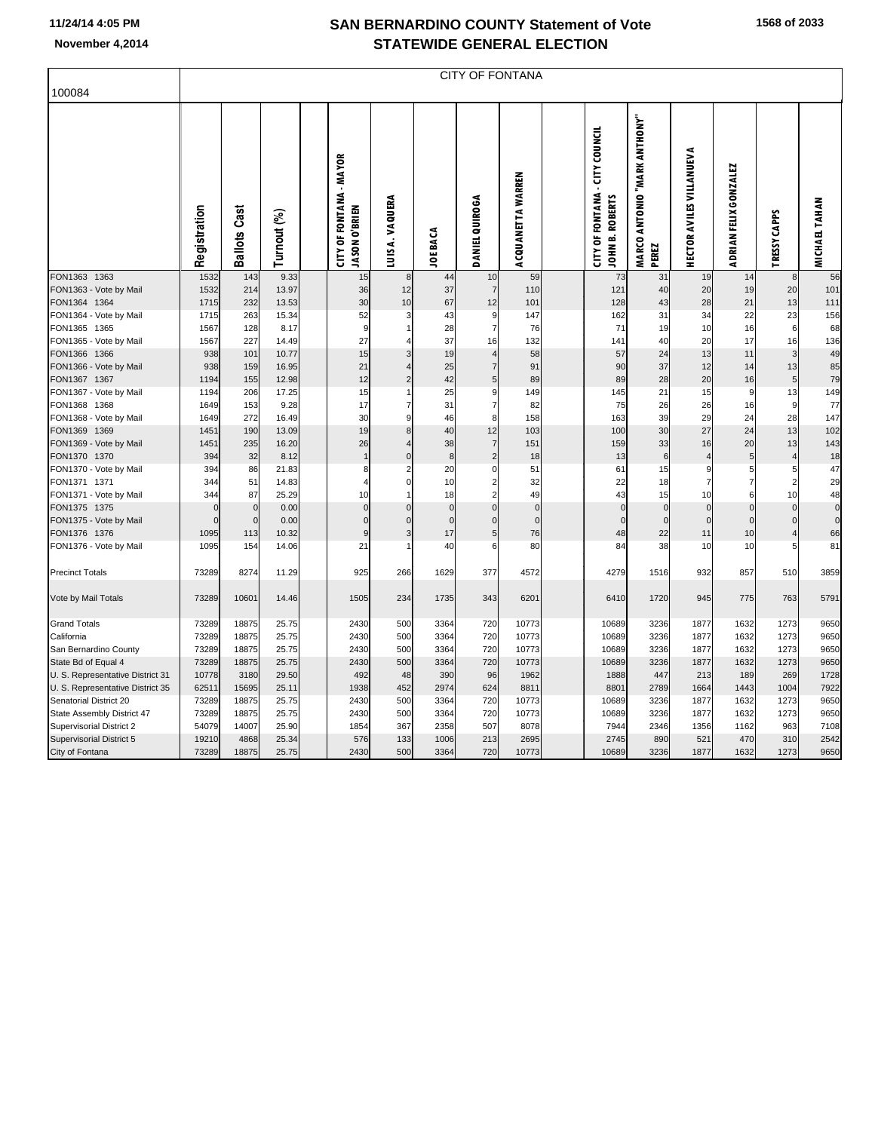F

| 100084                                 |              | <b>CITY OF FONTANA</b>     |             |  |                                                        |                |                          |                            |                         |  |                                                          |                                       |                                 |                       |                     |                               |
|----------------------------------------|--------------|----------------------------|-------------|--|--------------------------------------------------------|----------------|--------------------------|----------------------------|-------------------------|--|----------------------------------------------------------|---------------------------------------|---------------------------------|-----------------------|---------------------|-------------------------------|
|                                        | Registration | <b>Ballots Cast</b>        | Turnout (%) |  | <b>CITY OF FONTANA - MAYOR</b><br><b>JASON O'BRIEN</b> | LUISA. VAQUERA | <b>JOE BACA</b>          | <b>DANIEL QUIROGA</b>      | ACQUANETTA WARREN       |  | <b>CITY OF FONTANA - CITY COUNCIL</b><br>JOHN B. ROBERTS | MARCO ANTONIO "MARK ANTHONY"<br>PEREZ | <b>HECTOR AVILES VILLANUEVA</b> | ADRIAN FELIX GONZALEZ | TRESSY CAPPS        | <b>MICHAEL TAHAN</b>          |
| FON1363 1363                           | 1532         | 143                        | 9.33        |  | 15                                                     | 8              | 44                       | 10                         | 59                      |  | 73                                                       | 31                                    | 19                              | 14                    | 8                   | 56                            |
| FON1363 - Vote by Mail                 | 1532         | 214                        | 13.97       |  | 36                                                     | 12             | 37                       | $\overline{7}$             | 110                     |  | 121                                                      | 40                                    | 20                              | 19                    | 20                  | 101                           |
| FON1364 1364                           | 1715         | 232                        | 13.53       |  | 30                                                     | 10             | 67                       | 12                         | 101                     |  | 128                                                      | 43                                    | 28                              | 21                    | 13                  | 111                           |
| FON1364 - Vote by Mail                 | 1715         | 263                        | 15.34       |  | 52                                                     | 3              | 43                       | 9                          | 147                     |  | 162                                                      | 31                                    | 34                              | 22                    | 23                  | 156                           |
| FON1365 1365                           | 1567         | 128                        | 8.17        |  | 9                                                      |                | 28                       | $\overline{7}$             | 76                      |  | 71                                                       | 19                                    | 10                              | 16                    | $6\phantom{1}6$     | 68                            |
| FON1365 - Vote by Mail                 | 1567         | 227                        | 14.49       |  | 27                                                     | 4              | 37                       | 16                         | 132                     |  | 141                                                      | 40                                    | 20                              | 17                    | 16                  | 136                           |
| FON1366 1366                           | 938          | 101                        | 10.77       |  | 15                                                     | 3              | 19                       | $\overline{4}$             | 58                      |  | 57                                                       | 24                                    | 13                              | 11                    | 3                   | 49                            |
| FON1366 - Vote by Mail                 | 938          | 159                        | 16.95       |  | 21                                                     |                | 25                       | $\overline{7}$             | 91                      |  | 90                                                       | 37                                    | 12                              | 14                    | 13                  | 85                            |
| FON1367 1367                           | 1194         | 155                        | 12.98       |  | 12                                                     | $\overline{2}$ | 42                       | $\overline{5}$             | 89                      |  | 89                                                       | 28                                    | 20                              | 16                    | $\overline{5}$      | 79                            |
| FON1367 - Vote by Mail                 | 1194         | 206                        | 17.25       |  | 15                                                     |                | 25                       | 9                          | 149                     |  | 145                                                      | 21                                    | 15                              | 9                     | 13                  | 149                           |
| FON1368 1368                           | 1649         | 153                        | 9.28        |  | 17                                                     | $\overline{7}$ | 31                       | $\overline{7}$             | 82                      |  | 75                                                       | 26                                    | 26                              | 16                    | 9                   | 77                            |
| FON1368 - Vote by Mail                 | 1649         | 272                        | 16.49       |  | 30                                                     | 9              | 46                       | 8                          | 158                     |  | 163                                                      | 39                                    | 29                              | 24                    | 28                  | 147                           |
| FON1369 1369                           | 1451         | 190                        | 13.09       |  | 19                                                     | 8              | 40                       | 12                         | 103                     |  | 100                                                      | 30                                    | 27                              | 24                    | 13                  | 102                           |
| FON1369 - Vote by Mail                 | 1451         | 235                        | 16.20       |  | 26                                                     | $\overline{4}$ | 38                       | $\overline{7}$             | 151                     |  | 159                                                      | 33                                    | 16                              | 20                    | 13                  | 143                           |
| FON1370 1370                           | 394          | 32                         | 8.12        |  |                                                        | $\overline{0}$ | $\bf8$                   | $\overline{2}$             | 18                      |  | 13                                                       | 6                                     | $\overline{4}$                  | 5 <sub>5</sub>        | 4                   | 18                            |
| FON1370 - Vote by Mail                 | 394          | 86                         | 21.83       |  | 8                                                      | $\overline{2}$ | 20                       | $\mathbf 0$                | 51                      |  | 61                                                       | 15                                    | 9                               | $5 \mid$              | 5                   | 47                            |
| FON1371 1371                           | 344          | 51                         | 14.83       |  | 4                                                      | $\Omega$       | 10                       | $\overline{c}$             | 32                      |  | 22                                                       | 18                                    | $\overline{7}$                  | $\overline{7}$        | $\overline{2}$      | 29                            |
| FON1371 - Vote by Mail                 | 344          | 87                         | 25.29       |  | 10                                                     | 1<br>$\Omega$  | 18                       | $\overline{2}$             | 49                      |  | 43                                                       | 15                                    | 10                              | 6                     | 10                  | 48                            |
| FON1375 1375                           | n            | $\mathbf 0$<br>$\mathbf 0$ | 0.00        |  | $\mathbf 0$<br>$\overline{0}$                          | $\Omega$       | $\pmb{0}$<br>$\mathbf 0$ | $\mathbf 0$<br>$\mathbf 0$ | $\mathbf 0$<br>$\Omega$ |  | $\Omega$<br>$\Omega$                                     | $\Omega$<br>$\Omega$                  | $\mathbf 0$<br>$\mathbf 0$      | $\pmb{0}$             | $\Omega$            | $\mathbf 0$<br>$\overline{0}$ |
| FON1375 - Vote by Mail                 |              |                            | 0.00        |  |                                                        | 3              |                          |                            |                         |  |                                                          |                                       |                                 | $\mathbf 0$           | $\mathbf 0$         |                               |
| FON1376 1376<br>FON1376 - Vote by Mail | 1095<br>1095 | 113<br>154                 | 10.32       |  | 9<br>21                                                |                | 17<br>40                 | $\sqrt{5}$<br>6            | 76<br>80                |  | 48<br>84                                                 | 22<br>38                              | 11<br>10                        | 10                    | $\overline{4}$<br>5 | 66<br>81                      |
|                                        |              |                            | 14.06       |  |                                                        |                |                          |                            |                         |  |                                                          |                                       |                                 | 10                    |                     |                               |
| <b>Precinct Totals</b>                 | 73289        | 8274                       | 11.29       |  | 925                                                    | 266            | 1629                     | 377                        | 4572                    |  | 4279                                                     | 1516                                  | 932                             | 857                   | 510                 | 3859                          |
| Vote by Mail Totals                    | 73289        | 10601                      | 14.46       |  | 1505                                                   | 234            | 1735                     | 343                        | 6201                    |  | 6410                                                     | 1720                                  | 945                             | 775                   | 763                 | 5791                          |
| <b>Grand Totals</b>                    | 73289        | 18875                      | 25.75       |  | 2430                                                   | 500            | 3364                     | 720                        | 10773                   |  | 10689                                                    | 3236                                  | 1877                            | 1632                  | 1273                | 9650                          |
| California                             | 73289        | 18875                      | 25.75       |  | 2430                                                   | 500            | 3364                     | 720                        | 10773                   |  | 10689                                                    | 3236                                  | 1877                            | 1632                  | 1273                | 9650                          |
| San Bernardino County                  | 73289        | 18875                      | 25.75       |  | 2430                                                   | 500            | 3364                     | 720                        | 10773                   |  | 10689                                                    | 3236                                  | 1877                            | 1632                  | 1273                | 9650                          |
| State Bd of Equal 4                    | 73289        | 18875                      | 25.75       |  | 2430                                                   | 500            | 3364                     | 720                        | 10773                   |  | 10689                                                    | 3236                                  | 1877                            | 1632                  | 1273                | 9650                          |
| U. S. Representative District 31       | 10778        | 3180                       | 29.50       |  | 492                                                    | 48             | 390                      | 96                         | 1962                    |  | 1888                                                     | 447                                   | 213                             | 189                   | 269                 | 1728                          |
| U. S. Representative District 35       | 62511        | 15695                      | 25.11       |  | 1938                                                   | 452            | 2974                     | 624                        | 8811                    |  | 8801                                                     | 2789                                  | 1664                            | 1443                  | 1004                | 7922                          |
| Senatorial District 20                 | 73289        | 18875                      | 25.75       |  | 2430                                                   | 500            | 3364                     | 720                        | 10773                   |  | 10689                                                    | 3236                                  | 1877                            | 1632                  | 1273                | 9650                          |
| State Assembly District 47             | 73289        | 18875                      | 25.75       |  | 2430                                                   | 500            | 3364                     | 720                        | 10773                   |  | 10689                                                    | 3236                                  | 1877                            | 1632                  | 1273                | 9650                          |
| <b>Supervisorial District 2</b>        | 54079        | 14007                      | 25.90       |  | 1854                                                   | 367            | 2358                     | 507                        | 8078                    |  | 7944                                                     | 2346                                  | 1356                            | 1162                  | 963                 | 7108                          |
| <b>Supervisorial District 5</b>        | 19210        | 4868                       | 25.34       |  | 576                                                    | 133            | 1006                     | 213                        | 2695                    |  | 2745                                                     | 890                                   | 521                             | 470                   | 310                 | 2542                          |
| City of Fontana                        | 73289        | 18875                      | 25.75       |  | 2430                                                   | 500            | 3364                     | 720                        | 10773                   |  | 10689                                                    | 3236                                  | 1877                            | 1632                  | 1273                | 9650                          |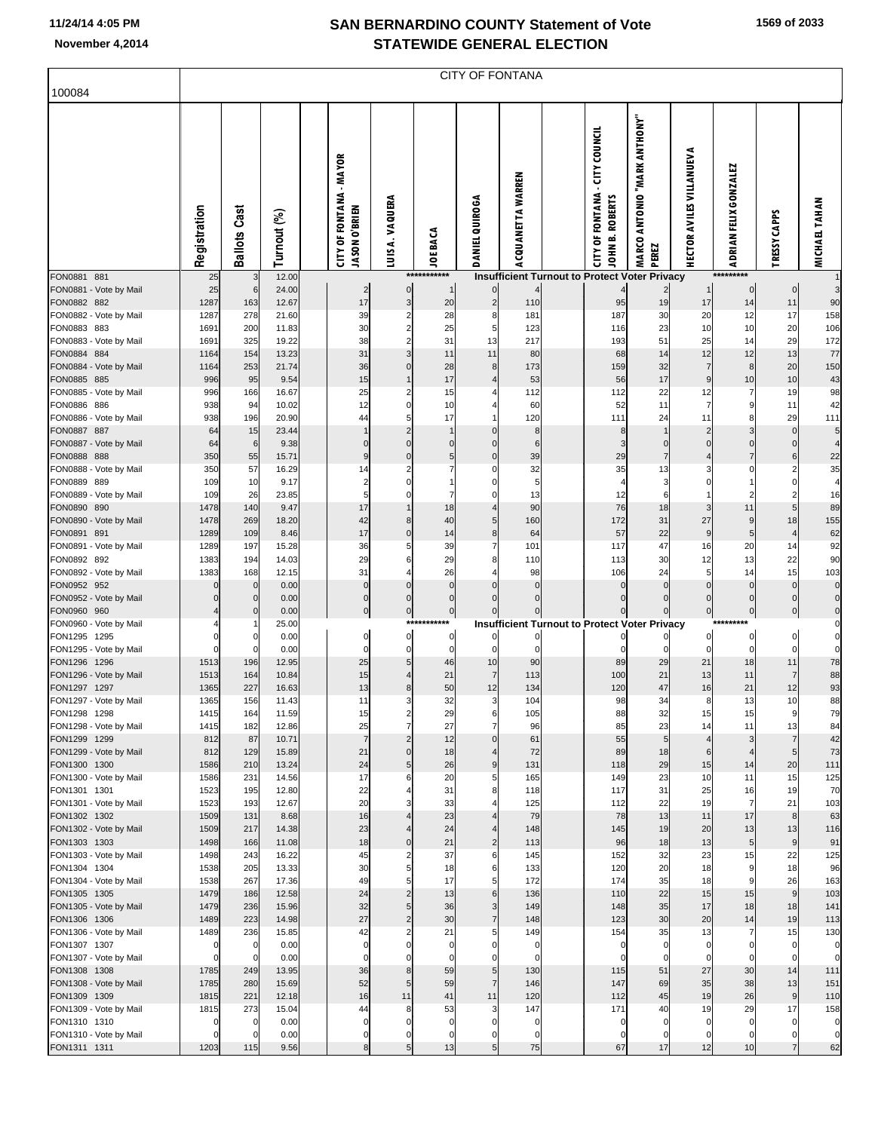|  |  | 1569 of 2033 |
|--|--|--------------|
|--|--|--------------|

| 100084                                 |              | CITY OF FONTANA            |                |  |                                                        |                        |                             |                                     |                   |  |                                                                     |                                         |                                    |                         |                            |                            |
|----------------------------------------|--------------|----------------------------|----------------|--|--------------------------------------------------------|------------------------|-----------------------------|-------------------------------------|-------------------|--|---------------------------------------------------------------------|-----------------------------------------|------------------------------------|-------------------------|----------------------------|----------------------------|
|                                        |              |                            |                |  |                                                        |                        |                             |                                     |                   |  |                                                                     |                                         |                                    |                         |                            |                            |
|                                        | Registration | <b>Ballots Cast</b>        | Turnout (%)    |  | <b>CITY OF FONTANA - MAYOR</b><br><b>UASON O'BRIEN</b> | LUIS A. VAQUERA        | <b>JOE BACA</b>             | <b>DANIEL QUIROGA</b>               | ACQUANETTA WARREN |  | - CITY COUNCIL<br><b>CITY OF FONTANA</b><br>JOHN B. ROBERTS         | "YMOHTMA NARK ANTHONY<br>MARCO<br>PEREZ | <b>HECTOR AVILES VILLANUEVA</b>    | ADRIAN FELIX GONZALEZ   | <b>CAPPS</b><br>TRESSY     | <b>MICHAEL TAHAN</b>       |
| FON0881 881<br>FON0881 - Vote by Mail  | 25<br>25     | 3<br>6                     | 12.00<br>24.00 |  | $\overline{c}$                                         | 0                      | ***********<br>$\mathbf{1}$ | $\overline{0}$                      |                   |  | Insufficient Turnout to Protect Voter Privacy                       |                                         |                                    | *********<br>$\bf{0}$   | $\pmb{0}$                  | 3                          |
| FON0882 882                            | 1287         | 163                        | 12.67          |  | 17                                                     | 3                      | 20                          | $\mathbf{2}$                        | 110               |  | 95                                                                  | 19                                      | 17                                 | 14                      | 11                         | 90                         |
| FON0882 - Vote by Mail<br>FON0883 883  | 1287<br>1691 | 278<br>200                 | 21.60<br>11.83 |  | 39<br>30                                               | 2<br>2                 | 28<br>25                    | 8<br>5                              | 181<br>123        |  | 187<br>116                                                          | 30<br>23                                | 20<br>10                           | 12<br>10                | 17<br>20                   | 158                        |
| FON0883 - Vote by Mail                 | 1691         | 325                        | 19.22          |  | 38                                                     | 2                      | 31                          | 13                                  | 217               |  | 193                                                                 | 51                                      | 25                                 | 14                      | 29                         | 106<br>172                 |
| FON0884 884                            | 1164         | 154                        | 13.23          |  | 31                                                     | 3                      | 11                          | 11                                  | 80                |  | 68                                                                  | 14                                      | 12                                 | 12                      | 13                         | 77                         |
| FON0884 - Vote by Mail<br>FON0885 885  | 1164<br>996  | 253<br>95                  | 21.74<br>9.54  |  | 36<br>15                                               | 0<br>1                 | 28<br>17                    | 8<br>4                              | 173<br>53         |  | 159<br>56                                                           | 32<br>17                                | $\overline{7}$<br>$\boldsymbol{9}$ | 8<br>10                 | 20<br>10                   | 150<br>43                  |
| FON0885 - Vote by Mail                 | 996          | 166                        | 16.67          |  | 25                                                     | 2                      | 15                          |                                     | 112               |  | 112                                                                 | 22                                      | 12                                 |                         | 19                         | 98                         |
| FON0886 886                            | 938          | 94                         | 10.02          |  | 12                                                     | 0                      | 10                          |                                     | 60                |  | 52                                                                  | 11                                      | $\overline{7}$                     | 9                       | 11                         | 42                         |
| FON0886 - Vote by Mail<br>FON0887 887  | 938<br>64    | 196<br>15                  | 20.90<br>23.44 |  | 44                                                     | 5<br>$\overline{2}$    | 17                          | $\mathbf 0$                         | 120<br>8          |  | 111<br>8                                                            | 24                                      | 11<br>$\overline{2}$               | 8<br>3                  | 29<br>$\mathbf 0$          | 111<br>5                   |
| FON0887 - Vote by Mail                 | 64           | 6                          | 9.38           |  | 0                                                      | 0                      | $\mathbf 0$                 | $\mathbf 0$                         | 6                 |  | 3                                                                   | $\pmb{0}$                               | $\mathbf 0$                        | $\mathbf 0$             | $\mathbf 0$                | 4                          |
| FON0888 888                            | 350          | 55                         | 15.71          |  |                                                        | 0                      | 5<br>7                      | $\mathbf 0$                         | 39                |  | 29                                                                  | $\overline{7}$                          | $\overline{4}$                     | $\overline{7}$<br>O     | 6<br>$\overline{2}$        | 22                         |
| FON0888 - Vote by Mail<br>FON0889 889  | 350<br>109   | 57<br>10                   | 16.29<br>9.17  |  | 14<br>2                                                | 2<br>0                 |                             | 0<br>0                              | 32<br>5           |  | 35<br>$\overline{4}$                                                | 13<br>3                                 | 3<br>$\mathbf 0$                   |                         | $\Omega$                   | 35<br>4                    |
| FON0889 - Vote by Mail                 | 109          | 26                         | 23.85          |  | 5                                                      | 0                      | 7                           | 0                                   | 13                |  | 12                                                                  | 6                                       | $\mathbf{1}$                       | 2                       | $\overline{2}$             | 16                         |
| FON0890 890<br>FON0890 - Vote by Mail  | 1478<br>1478 | 140<br>269                 | 9.47           |  | 17<br>42                                               | 8                      | 18<br>40                    | 4<br>5 <sub>l</sub>                 | 90<br>160         |  | 76<br>172                                                           | 18<br>31                                | 3<br>27                            | 11<br>9                 | 5<br>18                    | 89                         |
| FON0891 891                            | 1289         | 109                        | 18.20<br>8.46  |  | 17                                                     | 0                      | 14                          | 8 <sup>1</sup>                      | 64                |  | 57                                                                  | 22                                      | 9                                  | 5                       | $\overline{4}$             | 155<br>62                  |
| FON0891 - Vote by Mail                 | 1289         | 197                        | 15.28          |  | 36                                                     | 5                      | 39                          | 7                                   | 101               |  | 117                                                                 | 47                                      | 16                                 | 20                      | 14                         | 92                         |
| FON0892 892<br>FON0892 - Vote by Mail  | 1383<br>1383 | 194<br>168                 | 14.03<br>12.15 |  | 29<br>31                                               | 6<br>4                 | 29<br>26                    | 8                                   | 110<br>98         |  | 113<br>106                                                          | 30<br>24                                | 12<br>5                            | 13<br>14                | 22<br>15                   | 90<br>103                  |
| FON0952 952                            |              | $\mathbf 0$                | 0.00           |  | C                                                      | 0                      | $\mathbf 0$                 | $\Omega$                            | 0                 |  | $\mathbf 0$                                                         | $\mathbf 0$                             | $\mathbf 0$                        | $\Omega$                | $\mathbf 0$                | $\mathbf 0$                |
| FON0952 - Vote by Mail                 |              | $\mathbf 0$                | 0.00           |  | 0                                                      | 0                      | $\pmb{0}$                   | $\Omega$                            | $\mathbf 0$       |  | $\pmb{0}$                                                           | $\pmb{0}$                               | $\mathbf 0$                        | $\pmb{0}$               | $\bf 0$                    | $\pmb{0}$                  |
| FON0960 960<br>FON0960 - Vote by Mail  |              | $\mathbf 0$                | 0.00<br>25.00  |  | 0                                                      | $\overline{0}$<br>**** | $\pmb{0}$                   |                                     |                   |  | $\mathbf 0$<br><b>Insufficient Turnout to Protect Voter Privacy</b> |                                         | $\pmb{0}$                          | $\pmb{0}$               | $\pmb{0}$                  | $\pmb{0}$<br>0             |
| FON1295 1295                           |              | 0                          | 0.00           |  | 0                                                      | $\pmb{0}$              | 0                           |                                     |                   |  |                                                                     |                                         | 0                                  | 0                       | $\pmb{0}$                  | $\pmb{0}$                  |
| FON1295 - Vote by Mail                 |              | $\Omega$                   | 0.00           |  | 0                                                      | 0                      | $\mathbf 0$                 | $\Omega$                            |                   |  | 0                                                                   | $\mathbf 0$                             | $\mathbf 0$                        | $\Omega$                | $\mathbf 0$                | $\mathbf 0$                |
| FON1296 1296<br>FON1296 - Vote by Mail | 1513<br>1513 | 196<br>164                 | 12.95<br>10.84 |  | 25<br>15                                               | 5<br>4                 | 46<br>21                    | 10<br>7                             | 90<br>113         |  | 89<br>100                                                           | 29<br>21                                | 21<br>13                           | 18<br>11                | 11<br>$\overline{7}$       | 78<br>88                   |
| FON1297 1297                           | 1365         | 227                        | 16.63          |  | 13                                                     | 8                      | 50                          | 12                                  | 134               |  | 120                                                                 | 47                                      | 16                                 | 21                      | 12                         | 93                         |
| FON1297 - Vote by Mail<br>FON1298 1298 | 1365<br>1415 | 156                        | 11.43<br>11.59 |  | 11                                                     | 3<br>2                 | 32<br>29                    | $\mathbf{3}$<br>6                   | 104               |  | 98<br>88                                                            | 34<br>32                                | 8<br>15                            | 13                      | 10<br>9                    | 88<br>79                   |
| FON1298 - Vote by Mail                 | 1415         | 164<br>182                 | 12.86          |  | 15<br>25                                               | $\overline{7}$         | 27                          | 7                                   | 105<br>96         |  | 85                                                                  | 23                                      | 14                                 | 15<br>11                | 13                         | 84                         |
| FON1299 1299                           | 812          | 87                         | 10.71          |  | $\overline{7}$                                         | $\overline{2}$         | 12                          | $\mathbf{0}$                        | 61                |  | 55                                                                  | 5                                       | $\overline{4}$                     | 3                       | $\overline{7}$             | 42                         |
| FON1299 - Vote by Mail<br>FON1300 1300 | 812<br>1586  | 129<br>210                 | 15.89<br>13.24 |  | 21<br>24                                               | $\pmb{0}$<br>5         | 18<br>26                    | 4<br>9                              | 72<br>131         |  | 89<br>118                                                           | 18<br>29                                | 6<br>15                            | $\overline{4}$<br>14    | 5<br>20                    | 73<br>111                  |
| FON1300 - Vote by Mail                 | 1586         | 231                        | 14.56          |  | 17                                                     | 6                      | 20                          | 5                                   | 165               |  | 149                                                                 | 23                                      | 10                                 | 11                      | 15                         | 125                        |
| FON1301 1301                           | 1523         | 195                        | 12.80          |  | 22                                                     | 4                      | 31                          | 8                                   | 118               |  | 117                                                                 | 31                                      | 25                                 | 16                      | 19                         | 70                         |
| FON1301 - Vote by Mail<br>FON1302 1302 | 1523<br>1509 | 193<br>131                 | 12.67<br>8.68  |  | 20<br>16                                               | 3<br>4                 | 33<br>23                    | 4                                   | 125<br>79         |  | 112<br>78                                                           | 22<br>13                                | 19<br>11                           | $\overline{7}$<br>17    | 21<br>$\bf8$               | 103<br>63                  |
| FON1302 - Vote by Mail                 | 1509         | 217                        | 14.38          |  | 23                                                     | 4                      | 24                          | 4                                   | 148               |  | 145                                                                 | 19                                      | 20                                 | 13                      | 13                         | 116                        |
| FON1303 1303                           | 1498         | 166                        | 11.08          |  | 18                                                     | $\mathbf 0$            | 21                          | $\overline{2}$                      | 113               |  | 96                                                                  | 18                                      | 13                                 | 5                       | $\boldsymbol{9}$           | 91                         |
| FON1303 - Vote by Mail<br>FON1304 1304 | 1498<br>1538 | 243<br>205                 | 16.22<br>13.33 |  | 45<br>30                                               | 2<br>5                 | 37<br>18                    | 6<br>6                              | 145<br>133        |  | 152<br>120                                                          | 32<br>20                                | 23<br>18                           | 15<br>9                 | 22<br>18                   | 125<br>96                  |
| FON1304 - Vote by Mail                 | 1538         | 267                        | 17.36          |  | 49                                                     | 5                      | 17                          | $5 \mid$                            | 172               |  | 174                                                                 | 35                                      | 18                                 | 9                       | 26                         | 163                        |
| FON1305 1305<br>FON1305 - Vote by Mail | 1479<br>1479 | 186<br>236                 | 12.58<br>15.96 |  | 24<br>32                                               | $\overline{2}$<br>5    | 13<br>36                    | $6 \mid$<br>$\overline{\mathbf{3}}$ | 136<br>149        |  | 110<br>148                                                          | 22<br>35                                | 15<br>17                           | 15<br>18                | $\boldsymbol{9}$<br>18     | 103<br>141                 |
| FON1306 1306                           | 1489         | 223                        | 14.98          |  | 27                                                     | $\overline{c}$         | 30                          | $\overline{7}$                      | 148               |  | 123                                                                 | 30                                      | 20                                 | 14                      | 19                         | 113                        |
| FON1306 - Vote by Mail                 | 1489         | 236                        | 15.85          |  | 42                                                     | 2                      | 21                          | 5                                   | 149               |  | 154                                                                 | 35                                      | 13                                 | 7                       | 15                         | 130                        |
| FON1307 1307<br>FON1307 - Vote by Mail | 0<br>C       | $\mathbf 0$<br>$\mathbf 0$ | 0.00<br>0.00   |  | 0<br>0                                                 | 0<br>0                 | 0<br>0                      | 0<br>0                              | 0<br>$\mathbf 0$  |  | $\mathbf 0$<br>$\mathbf 0$                                          | 0<br>0                                  | $\pmb{0}$<br>$\mathbf 0$           | $\mathbf 0$<br>$\Omega$ | $\mathbf 0$<br>$\mathbf 0$ | $\mathbf 0$<br>$\mathbf 0$ |
| FON1308 1308                           | 1785         | 249                        | 13.95          |  | 36                                                     | 8                      | 59                          | 5 <sub>l</sub>                      | 130               |  | 115                                                                 | 51                                      | 27                                 | 30                      | 14                         | 111                        |
| FON1308 - Vote by Mail                 | 1785         | 280                        | 15.69          |  | 52                                                     | 5                      | 59                          | 7                                   | 146               |  | 147                                                                 | 69                                      | 35                                 | 38                      | 13                         | 151                        |
| FON1309 1309<br>FON1309 - Vote by Mail | 1815<br>1815 | 221<br>273                 | 12.18<br>15.04 |  | 16<br>44                                               | 11<br>8                | 41<br>53                    | 11<br>3                             | 120<br>147        |  | 112<br>171                                                          | 45<br>40                                | 19<br>19                           | 26<br>29                | $\boldsymbol{9}$<br>17     | 110<br>158                 |
| FON1310 1310                           |              | $\mathbf 0$                | 0.00           |  | 0                                                      | 0                      | 0                           | 0                                   | 0                 |  | $\mathbf 0$                                                         | $\mathbf 0$                             | $\mathbf 0$                        | $\Omega$                | $\mathbf 0$                | $\pmb{0}$                  |
| FON1310 - Vote by Mail                 |              | $\mathbf 0$                | 0.00           |  | 0                                                      | 0                      | 0                           | 0                                   | 0                 |  | $\mathbf 0$<br>67                                                   | $\mathbf 0$<br>17                       | $\mathbf 0$                        | 0<br>10                 | 0<br>$\overline{7}$        | $\overline{0}$             |
| FON1311 1311                           | 1203         | 115                        | 9.56           |  | 8                                                      | 5                      | 13                          | 5 <sub>l</sub>                      | 75                |  |                                                                     |                                         | 12                                 |                         |                            | 62                         |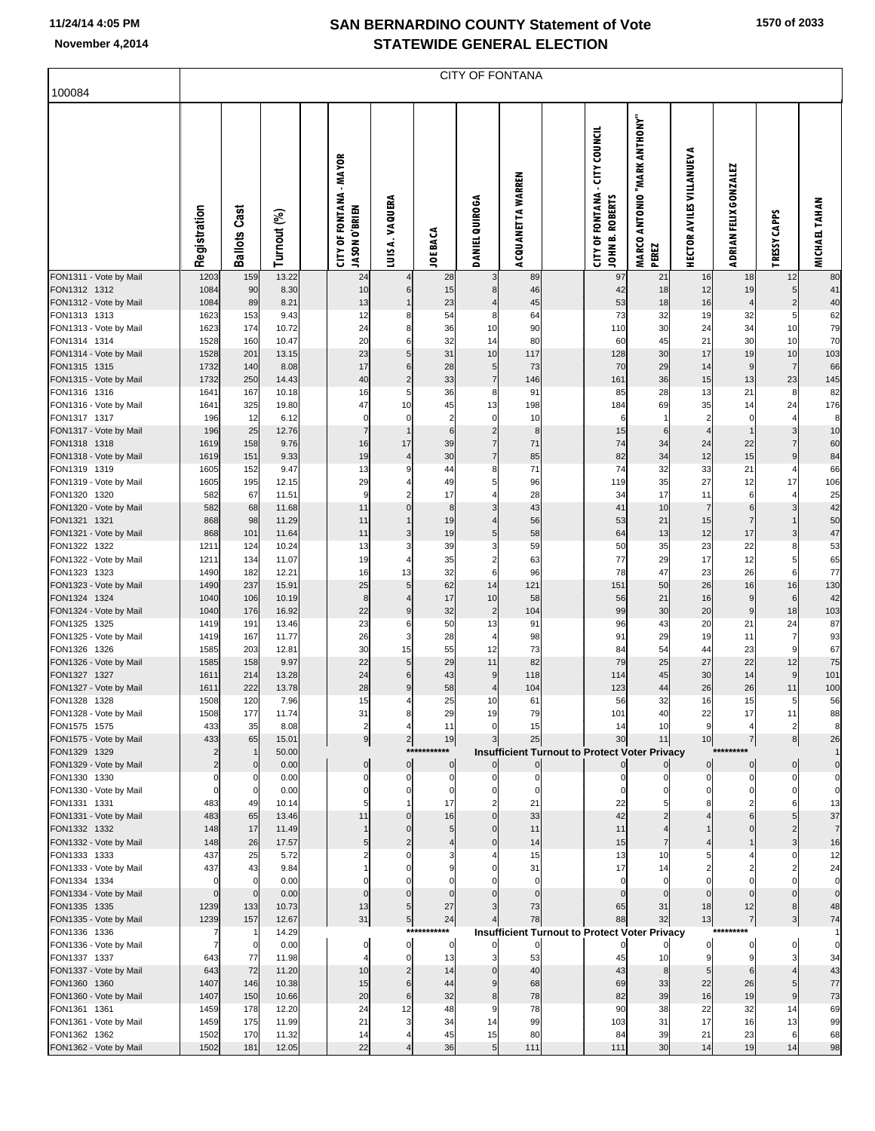| 100084                                 |                    | CITY OF FONTANA     |                |  |                                                 |                             |                       |                                  |                   |  |                                                             |                                       |                                 |                         |                              |                      |
|----------------------------------------|--------------------|---------------------|----------------|--|-------------------------------------------------|-----------------------------|-----------------------|----------------------------------|-------------------|--|-------------------------------------------------------------|---------------------------------------|---------------------------------|-------------------------|------------------------------|----------------------|
|                                        | Registration       | <b>Ballots Cast</b> | Turnout (%)    |  | <b>CITY OF FONTANA - MAYOR</b><br>JASON O'BRIEN | LUISA. VAQUERA              | <b>JOE BACA</b>       | DANIEL QUIROGA                   | ACQUANETTA WARREN |  | - CITY COUNCIL<br><b>CITY OF FONTANA</b><br>JOHN B. ROBERTS | MARCO ANTONIO "MARK ANTHONY"<br>PEREZ | <b>HECTOR AVILES VILLANUEVA</b> | ADRIAN FELIX GONZALEZ   | TRESSY CAPPS                 | MICHAEL TAHAN        |
| FON1311 - Vote by Mail<br>FON1312 1312 | 1203<br>1084       | 159<br>90           | 13.22<br>8.30  |  | 24<br>10                                        |                             | 28<br>15              | 3                                | 89<br>46          |  | 97<br>42                                                    | 21                                    | 16<br>12                        | 18                      | 12                           | 80                   |
| FON1312 - Vote by Mail                 | 1084               | 89                  | 8.21           |  | 13                                              | 6<br>$\mathbf{1}$           | 23                    | 8<br>$\overline{4}$              | 45                |  | 53                                                          | 18<br>18                              | 16                              | 19<br>$\overline{4}$    | 5<br>$\overline{\mathbf{c}}$ | 41<br>40             |
| FON1313 1313                           | 1623               | 153                 | 9.43           |  | 12                                              | 8                           | 54                    | 8                                | 64                |  | 73                                                          | 32                                    | 19                              | 32                      | 5                            | 62                   |
| FON1313 - Vote by Mail                 | 1623               | 174                 | 10.72          |  | 24                                              | 8                           | 36                    | 10                               | 90                |  | 110                                                         | 30                                    | 24                              | 34                      | 10                           | 79                   |
| FON1314 1314                           | 1528               | 160                 | 10.47          |  | 20                                              | 6                           | 32                    | 14                               | 80                |  | 60                                                          | 45                                    | 21                              | 30                      | 10                           | 70                   |
| FON1314 - Vote by Mail<br>FON1315 1315 | 1528<br>1732       | 201<br>140          | 13.15<br>8.08  |  | 23<br>17                                        | $\overline{5}$<br>$\,6$     | 31<br>28              | 10<br>5                          | 117<br>73         |  | 128<br>70                                                   | 30<br>29                              | 17<br>14                        | 19<br>9                 | 10<br>$\overline{7}$         | 103<br>66            |
| FON1315 - Vote by Mail                 | 1732               | 250                 | 14.43          |  | 40                                              | $\overline{\mathbf{c}}$     | 33                    | $\overline{7}$                   | 146               |  | 161                                                         | 36                                    | 15                              | 13                      | 23                           | 145                  |
| FON1316 1316                           | 1641               | 167                 | 10.18          |  | 16                                              | 5                           | 36                    | 8                                | 91                |  | 85                                                          | 28                                    | 13                              | 21                      | 8                            | 82                   |
| FON1316 - Vote by Mail                 | 1641               | 325                 | 19.80          |  | 47                                              | 10                          | 45                    | 13                               | 198               |  | 184                                                         | 69                                    | 35                              | 14                      | 24                           | 176                  |
| FON1317 1317                           | 196                | 12                  | 6.12           |  | $\mathbf 0$                                     | $\mathbf 0$                 | $\overline{2}$        | $\mathbf 0$                      | 10                |  | 6                                                           | $\overline{1}$                        | $\overline{2}$                  | $\mathbf 0$             | $\overline{4}$               | 8                    |
| FON1317 - Vote by Mail<br>FON1318 1318 | 196<br>1619        | 25<br>158           | 12.76<br>9.76  |  | $\overline{7}$<br>16                            | $\mathbf{1}$<br>17          | $6\phantom{1}6$<br>39 | $\overline{2}$<br>$\overline{7}$ | 8<br>71           |  | 15<br>74                                                    | $6\phantom{1}6$<br>34                 | $\overline{4}$<br>24            | $\overline{1}$<br>22    | 3<br>$\overline{7}$          | 10<br>60             |
| FON1318 - Vote by Mail                 | 1619               | 151                 | 9.33           |  | 19                                              | $\overline{4}$              | 30                    | $\overline{7}$                   | 85                |  | 82                                                          | 34                                    | 12                              | 15                      | 9                            | 84                   |
| FON1319 1319                           | 1605               | 152                 | 9.47           |  | 13                                              | 9                           | 44                    | 8                                | 71                |  | 74                                                          | 32                                    | 33                              | 21                      | 4                            | 66                   |
| FON1319 - Vote by Mail                 | 1605               | 195                 | 12.15          |  | 29                                              | 4                           | 49                    | 5                                | 96                |  | 119                                                         | 35                                    | 27                              | 12                      | 17                           | 106                  |
| FON1320 1320                           | 582                | 67                  | 11.51          |  | 9                                               | $\overline{2}$              | 17                    | $\overline{4}$                   | 28                |  | 34                                                          | 17                                    | 11                              | 6                       | $\overline{4}$               | 25                   |
| FON1320 - Vote by Mail<br>FON1321 1321 | 582<br>868         | 68<br>98            | 11.68<br>11.29 |  | 11<br>11                                        | $\mathbf 0$<br>$\mathbf{1}$ | 8<br>19               | 3<br>$\overline{4}$              | 43<br>56          |  | 41<br>53                                                    | 10<br>21                              | $\overline{7}$<br>15            | $\,6$<br>$\overline{7}$ | 3<br>$\overline{1}$          | 42<br>50             |
| FON1321 - Vote by Mail                 | 868                | 101                 | 11.64          |  | 11                                              | 3                           | 19                    | 5                                | 58                |  | 64                                                          | 13                                    | 12                              | 17                      | 3                            | 47                   |
| FON1322 1322                           | 1211               | 124                 | 10.24          |  | 13                                              | 3                           | 39                    | 3                                | 59                |  | 50                                                          | 35                                    | 23                              | 22                      | 8                            | 53                   |
| FON1322 - Vote by Mail                 | 1211               | 134                 | 11.07          |  | 19                                              | 4                           | 35                    | $\overline{\mathbf{c}}$          | 63                |  | 77                                                          | 29                                    | 17                              | 12                      | 5                            | 65                   |
| FON1323 1323                           | 1490               | 182                 | 12.21          |  | 16                                              | 13                          | 32                    | 6                                | 96                |  | 78                                                          | 47                                    | 23                              | 26                      | 6<br>16                      | 77                   |
| FON1323 - Vote by Mail<br>FON1324 1324 | 1490<br>1040       | 237<br>106          | 15.91<br>10.19 |  | 25<br>8                                         | 5<br>$\overline{4}$         | 62<br>17              | 14<br>10                         | 121<br>58         |  | 151<br>56                                                   | 50<br>21                              | 26<br>16                        | 16<br>9                 | 6                            | 130<br>42            |
| FON1324 - Vote by Mail                 | 1040               | 176                 | 16.92          |  | 22                                              | 9                           | 32                    | $\overline{c}$                   | 104               |  | 99                                                          | 30                                    | 20                              | 9                       | 18                           | 103                  |
| FON1325 1325                           | 1419               | 191                 | 13.46          |  | 23                                              | 6                           | 50                    | 13                               | 91                |  | 96                                                          | 43                                    | 20                              | 21                      | 24                           | 87                   |
| FON1325 - Vote by Mail                 | 1419               | 167                 | 11.77          |  | 26                                              | 3                           | 28                    | $\overline{4}$                   | 98                |  | 91                                                          | 29                                    | 19                              | 11                      | $\overline{7}$               | 93                   |
| FON1326 1326<br>FON1326 - Vote by Mail | 1585<br>1585       | 203<br>158          | 12.81<br>9.97  |  | 30<br>22                                        | 15<br>5                     | 55<br>29              | 12<br>11                         | 73<br>82          |  | 84<br>79                                                    | 54<br>25                              | 44<br>27                        | 23<br>22                | 9<br>12                      | 67<br>75             |
| FON1327 1327                           | 1611               | 214                 | 13.28          |  | 24                                              | $\,6$                       | 43                    | 9                                | 118               |  | 114                                                         | 45                                    | 30                              | 14                      | 9                            | 101                  |
| FON1327 - Vote by Mail                 | 1611               | 222                 | 13.78          |  | 28                                              | $\boldsymbol{9}$            | 58                    | $\overline{4}$                   | 104               |  | 123                                                         | 44                                    | 26                              | 26                      | 11                           | 100                  |
| FON1328 1328                           | 1508               | 120                 | 7.96           |  | 15                                              | 4                           | 25                    | 10                               | 61                |  | 56                                                          | 32                                    | 16                              | 15                      | 5                            | 56                   |
| FON1328 - Vote by Mail                 | 1508               | 177                 | 11.74          |  | 31                                              |                             | 29                    | 19                               | 79                |  | 101                                                         | 40                                    | 22                              | 17                      | 11                           | 88                   |
| FON1575 1575<br>FON1575 - Vote by Mail | 433<br>433         | 35<br>65            | 8.08<br>15.01  |  | $\overline{2}$<br>9                             | $2 \vert$                   | 11<br>19              | $\mathbf 0$<br>3                 | 15<br>25          |  | 14<br>30                                                    | 10<br>11                              | 9<br>10                         | 4<br>$\overline{7}$     | $\overline{2}$<br>8          | 8<br>26              |
| FON1329 1329                           | $\overline{2}$     |                     | 50.00          |  |                                                 |                             | ***********           |                                  |                   |  | <b>Insufficient Turnout to Protect Voter Privacy</b>        |                                       |                                 |                         |                              |                      |
| FON1329 - Vote by Mail                 | $\overline{c}$     | $\mathbf 0$         | 0.00           |  | $\mathbf 0$                                     | $\mathbf 0$                 | $\mathbf 0$           | $\mathbf 0$                      |                   |  |                                                             |                                       | $\overline{0}$                  | $\overline{0}$          | $\mathbf 0$                  | $\mathbf 0$          |
| FON1330 1330                           | $\Omega$           |                     | 0.00           |  | 0                                               | $\Omega$                    | $\mathbf 0$           | O                                | 0                 |  |                                                             |                                       |                                 | $\Omega$                | $\Omega$                     | 0                    |
| FON1330 - Vote by Mail<br>FON1331 1331 | $\mathbf 0$<br>483 | 0<br>49             | 0.00<br>10.14  |  | 0                                               | 0<br>1                      | $\mathbf 0$<br>17     | 0<br>$\overline{2}$              | 0<br>21           |  | 0<br>22                                                     | 0                                     | $\Omega$                        | $\mathbf 0$             | $\mathbf 0$<br>6             | 0                    |
| FON1331 - Vote by Mail                 | 483                | 65                  | 13.46          |  | 11                                              | $\mathbf{0}$                | 16                    | $\mathbf{0}$                     | 33                |  | 42                                                          | $\overline{2}$                        |                                 | 6                       | 5                            | 13<br>37             |
| FON1332 1332                           | 148                | 17                  | 11.49          |  | 1                                               | $\Omega$                    | 5                     | $\Omega$                         | 11                |  | 11                                                          |                                       |                                 |                         | $\overline{2}$               | $\overline{7}$       |
| FON1332 - Vote by Mail                 | 148                | 26                  | 17.57          |  | 5                                               | $\overline{2}$              | $\overline{4}$        | $\Omega$                         | 14                |  | 15                                                          | 7                                     |                                 |                         | 3                            | 16                   |
| FON1333 1333                           | 437                | 25                  | 5.72           |  | 2                                               | $\Omega$                    |                       |                                  | 15                |  | 13                                                          | 10                                    |                                 |                         | $\Omega$                     | $12$                 |
| FON1333 - Vote by Mail<br>FON1334 1334 | 437<br>$\mathbf 0$ | 43                  | 9.84<br>0.00   |  |                                                 | $\Omega$<br>$\Omega$        | 9                     | 0                                | 31<br>$\Omega$    |  | 17<br>$\mathbf 0$                                           | 14<br>$\mathbf 0$                     | $\overline{2}$<br>$\Omega$      | 2<br>$\Omega$           | $\overline{2}$<br>$\Omega$   | 24<br>$\overline{0}$ |
| FON1334 - Vote by Mail                 | $\mathbf 0$        | $\mathbf 0$         | 0.00           |  | $\mathbf 0$                                     | $\mathbf 0$                 | $\Omega$              | $\Omega$                         | $\mathbf 0$       |  | $\mathbf{0}$                                                | $\mathbf 0$                           | $\mathbf 0$                     | $\Omega$                | $\mathbf 0$                  | $\mathbf 0$          |
| FON1335 1335                           | 1239               | 133                 | 10.73          |  | 13                                              | 5                           | 27                    | 3                                | 73                |  | 65                                                          | 31                                    | 18                              | 12                      | 8                            | 48                   |
| FON1335 - Vote by Mail                 | 1239               | 157                 | 12.67          |  | 31                                              | $\overline{5}$              | 24                    | $\overline{4}$                   | 78                |  | 88                                                          | 32                                    | 13                              | $\overline{7}$          | 3                            | 74                   |
| FON1336 1336                           | 7                  | -1                  | 14.29          |  |                                                 | ****<br>$\mathbf 0$         | *******               |                                  |                   |  | <b>Insufficient Turnout to Protect Voter Privacy</b>        |                                       |                                 |                         |                              |                      |
| FON1336 - Vote by Mail<br>FON1337 1337 | 7<br>643           | $\mathbf 0$<br>77   | 0.00<br>11.98  |  | 0                                               | $\mathbf 0$                 | 0<br>13               | 3                                | 0<br>53           |  | 45                                                          | 10                                    | $\mathbf{0}$<br>9               | $\mathbf 0$<br>9        | $\mathbf 0$<br>3             | $\pmb{0}$<br>34      |
| FON1337 - Vote by Mail                 | 643                | 72                  | 11.20          |  | 10                                              | $\overline{2}$              | 14                    | $\mathbf{0}$                     | 40                |  | 43                                                          | 8                                     | 5                               | 6                       |                              | 43                   |
| FON1360 1360                           | 1407               | 146                 | 10.38          |  | 15                                              | $6\phantom{1}6$             | 44                    | 9                                | 68                |  | 69                                                          | 33                                    | 22                              | 26                      | 5                            | 77                   |
| FON1360 - Vote by Mail                 | 1407               | 150                 | 10.66          |  | 20                                              | $6\phantom{1}6$             | 32                    | 8                                | 78                |  | 82                                                          | 39                                    | 16                              | 19                      | 9                            | 73                   |
| FON1361 1361                           | 1459<br>1459       | 178                 | 12.20          |  | 24<br>21                                        | 12<br>3                     | 48                    | g                                | 78<br>99          |  | 90<br>103                                                   | 38<br>31                              | 22<br>17                        | 32<br>16                | 14<br>13                     | 69                   |
| FON1361 - Vote by Mail<br>FON1362 1362 | 1502               | 175<br>170          | 11.99<br>11.32 |  | 14                                              | 4                           | 34<br>45              | 14<br>15                         | 80                |  | 84                                                          | 39                                    | 21                              | 23                      | 6                            | 99<br>68             |
| FON1362 - Vote by Mail                 | 1502               | 181                 | 12.05          |  | 22                                              |                             | 36                    | 5                                | 111               |  | 111                                                         | 30                                    | 14                              | 19                      | 14                           | 98                   |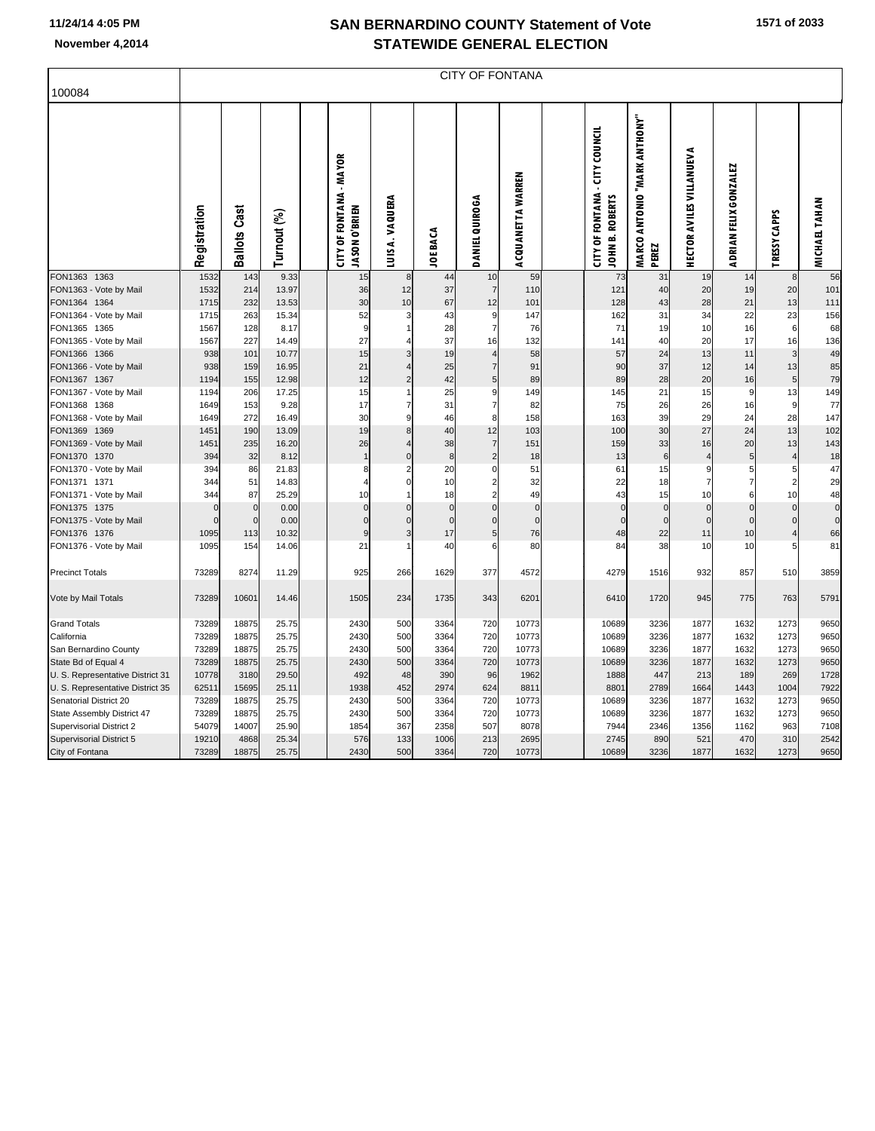F

| 100084                                 |              | <b>CITY OF FONTANA</b>     |             |  |                                                 |                |                          |                            |                         |  |                                                          |                                       |                                 |                       |                     |                               |
|----------------------------------------|--------------|----------------------------|-------------|--|-------------------------------------------------|----------------|--------------------------|----------------------------|-------------------------|--|----------------------------------------------------------|---------------------------------------|---------------------------------|-----------------------|---------------------|-------------------------------|
|                                        | Registration | <b>Ballots Cast</b>        | Turnout (%) |  | <b>CITY OF FONTANA - MAYOR</b><br>JASON O'BRIEN | LUISA. VAQUERA | <b>JOE BACA</b>          | <b>DANIEL QUIROGA</b>      | ACQUANETTA WARREN       |  | <b>CITY OF FONTANA - CITY COUNCIL</b><br>JOHN B. ROBERTS | MARCO ANTONIO "MARK ANTHONY"<br>PEREZ | <b>HECTOR AVILES VILLANUEVA</b> | ADRIAN FELIX GONZALEZ | TRESSY CAPPS        | <b>MICHAEL TAHAN</b>          |
| FON1363 1363                           | 1532         | 143                        | 9.33        |  | 15                                              | 8              | 44                       | 10                         | 59                      |  | 73                                                       | 31                                    | 19                              | 14                    | 8                   | 56                            |
| FON1363 - Vote by Mail                 | 1532         | 214                        | 13.97       |  | 36                                              | 12             | 37                       | $\overline{7}$             | 110                     |  | 121                                                      | 40                                    | 20                              | 19                    | 20                  | 101                           |
| FON1364 1364                           | 1715         | 232                        | 13.53       |  | 30                                              | 10             | 67                       | 12                         | 101                     |  | 128                                                      | 43                                    | 28                              | 21                    | 13                  | 111                           |
| FON1364 - Vote by Mail                 | 1715         | 263                        | 15.34       |  | 52                                              | 3              | 43                       | 9                          | 147                     |  | 162                                                      | 31                                    | 34                              | 22                    | 23                  | 156                           |
| FON1365 1365                           | 1567         | 128                        | 8.17        |  | 9                                               |                | 28                       | $\overline{7}$             | 76                      |  | 71                                                       | 19                                    | 10                              | 16                    | $6\phantom{1}6$     | 68                            |
| FON1365 - Vote by Mail                 | 1567         | 227                        | 14.49       |  | 27                                              | 4              | 37                       | 16                         | 132                     |  | 141                                                      | 40                                    | 20                              | 17                    | 16                  | 136                           |
| FON1366 1366                           | 938          | 101                        | 10.77       |  | 15                                              | 3              | 19                       | $\overline{4}$             | 58                      |  | 57                                                       | 24                                    | 13                              | 11                    | 3                   | 49                            |
| FON1366 - Vote by Mail                 | 938          | 159                        | 16.95       |  | 21                                              |                | 25                       | $\overline{7}$             | 91                      |  | 90                                                       | 37                                    | 12                              | 14                    | 13                  | 85                            |
| FON1367 1367                           | 1194         | 155                        | 12.98       |  | 12                                              | $\overline{2}$ | 42                       | $\overline{5}$             | 89                      |  | 89                                                       | 28                                    | 20                              | 16                    | $\overline{5}$      | 79                            |
| FON1367 - Vote by Mail                 | 1194         | 206                        | 17.25       |  | 15                                              |                | 25                       | 9                          | 149                     |  | 145                                                      | 21                                    | 15                              | 9                     | 13                  | 149                           |
| FON1368 1368                           | 1649         | 153                        | 9.28        |  | 17                                              | $\overline{7}$ | 31                       | $\overline{7}$             | 82                      |  | 75                                                       | 26                                    | 26                              | 16                    | 9                   | 77                            |
| FON1368 - Vote by Mail                 | 1649         | 272                        | 16.49       |  | 30                                              | 9              | 46                       | 8                          | 158                     |  | 163                                                      | 39                                    | 29                              | 24                    | 28                  | 147                           |
| FON1369 1369                           | 1451         | 190                        | 13.09       |  | 19                                              | 8              | 40                       | 12                         | 103                     |  | 100                                                      | 30                                    | 27                              | 24                    | 13                  | 102                           |
| FON1369 - Vote by Mail                 | 1451         | 235                        | 16.20       |  | 26                                              | $\overline{4}$ | 38                       | $\overline{7}$             | 151                     |  | 159                                                      | 33                                    | 16                              | 20                    | 13                  | 143                           |
| FON1370 1370                           | 394          | 32                         | 8.12        |  |                                                 | $\overline{0}$ | $\bf8$                   | $\overline{2}$             | 18                      |  | 13                                                       | 6                                     | $\overline{4}$                  | 5 <sub>5</sub>        | 4                   | 18                            |
| FON1370 - Vote by Mail                 | 394          | 86                         | 21.83       |  | 8                                               | $\overline{2}$ | 20                       | $\mathbf 0$                | 51                      |  | 61                                                       | 15                                    | 9                               | $5 \mid$              | 5                   | 47                            |
| FON1371 1371                           | 344          | 51                         | 14.83       |  | 4                                               | $\Omega$       | 10                       | $\overline{c}$             | 32                      |  | 22                                                       | 18                                    | $\overline{7}$                  | $\overline{7}$        | $\overline{2}$      | 29                            |
| FON1371 - Vote by Mail                 | 344          | 87                         | 25.29       |  | 10                                              | 1<br>$\Omega$  | 18                       | $\overline{2}$             | 49                      |  | 43                                                       | 15                                    | 10                              | 6                     | 10                  | 48                            |
| FON1375 1375                           | n            | $\mathbf 0$<br>$\mathbf 0$ | 0.00        |  | $\mathbf 0$<br>$\overline{0}$                   | $\Omega$       | $\pmb{0}$<br>$\mathbf 0$ | $\mathbf 0$<br>$\mathbf 0$ | $\mathbf 0$<br>$\Omega$ |  | $\Omega$<br>$\Omega$                                     | $\Omega$<br>$\Omega$                  | $\mathbf 0$<br>$\mathbf 0$      | $\pmb{0}$             | $\Omega$            | $\mathbf 0$<br>$\overline{0}$ |
| FON1375 - Vote by Mail                 |              |                            | 0.00        |  |                                                 | 3              |                          |                            |                         |  |                                                          |                                       |                                 | $\mathbf 0$           | $\mathbf 0$         |                               |
| FON1376 1376<br>FON1376 - Vote by Mail | 1095<br>1095 | 113<br>154                 | 10.32       |  | 9<br>21                                         |                | 17<br>40                 | $\sqrt{5}$<br>6            | 76<br>80                |  | 48<br>84                                                 | 22<br>38                              | 11<br>10                        | 10                    | $\overline{4}$<br>5 | 66<br>81                      |
|                                        |              |                            | 14.06       |  |                                                 |                |                          |                            |                         |  |                                                          |                                       |                                 | 10                    |                     |                               |
| <b>Precinct Totals</b>                 | 73289        | 8274                       | 11.29       |  | 925                                             | 266            | 1629                     | 377                        | 4572                    |  | 4279                                                     | 1516                                  | 932                             | 857                   | 510                 | 3859                          |
| Vote by Mail Totals                    | 73289        | 10601                      | 14.46       |  | 1505                                            | 234            | 1735                     | 343                        | 6201                    |  | 6410                                                     | 1720                                  | 945                             | 775                   | 763                 | 5791                          |
| <b>Grand Totals</b>                    | 73289        | 18875                      | 25.75       |  | 2430                                            | 500            | 3364                     | 720                        | 10773                   |  | 10689                                                    | 3236                                  | 1877                            | 1632                  | 1273                | 9650                          |
| California                             | 73289        | 18875                      | 25.75       |  | 2430                                            | 500            | 3364                     | 720                        | 10773                   |  | 10689                                                    | 3236                                  | 1877                            | 1632                  | 1273                | 9650                          |
| San Bernardino County                  | 73289        | 18875                      | 25.75       |  | 2430                                            | 500            | 3364                     | 720                        | 10773                   |  | 10689                                                    | 3236                                  | 1877                            | 1632                  | 1273                | 9650                          |
| State Bd of Equal 4                    | 73289        | 18875                      | 25.75       |  | 2430                                            | 500            | 3364                     | 720                        | 10773                   |  | 10689                                                    | 3236                                  | 1877                            | 1632                  | 1273                | 9650                          |
| U. S. Representative District 31       | 10778        | 3180                       | 29.50       |  | 492                                             | 48             | 390                      | 96                         | 1962                    |  | 1888                                                     | 447                                   | 213                             | 189                   | 269                 | 1728                          |
| U. S. Representative District 35       | 62511        | 15695                      | 25.11       |  | 1938                                            | 452            | 2974                     | 624                        | 8811                    |  | 8801                                                     | 2789                                  | 1664                            | 1443                  | 1004                | 7922                          |
| Senatorial District 20                 | 73289        | 18875                      | 25.75       |  | 2430                                            | 500            | 3364                     | 720                        | 10773                   |  | 10689                                                    | 3236                                  | 1877                            | 1632                  | 1273                | 9650                          |
| State Assembly District 47             | 73289        | 18875                      | 25.75       |  | 2430                                            | 500            | 3364                     | 720                        | 10773                   |  | 10689                                                    | 3236                                  | 1877                            | 1632                  | 1273                | 9650                          |
| <b>Supervisorial District 2</b>        | 54079        | 14007                      | 25.90       |  | 1854                                            | 367            | 2358                     | 507                        | 8078                    |  | 7944                                                     | 2346                                  | 1356                            | 1162                  | 963                 | 7108                          |
| <b>Supervisorial District 5</b>        | 19210        | 4868                       | 25.34       |  | 576                                             | 133            | 1006                     | 213                        | 2695                    |  | 2745                                                     | 890                                   | 521                             | 470                   | 310                 | 2542                          |
| City of Fontana                        | 73289        | 18875                      | 25.75       |  | 2430                                            | 500            | 3364                     | 720                        | 10773                   |  | 10689                                                    | 3236                                  | 1877                            | 1632                  | 1273                | 9650                          |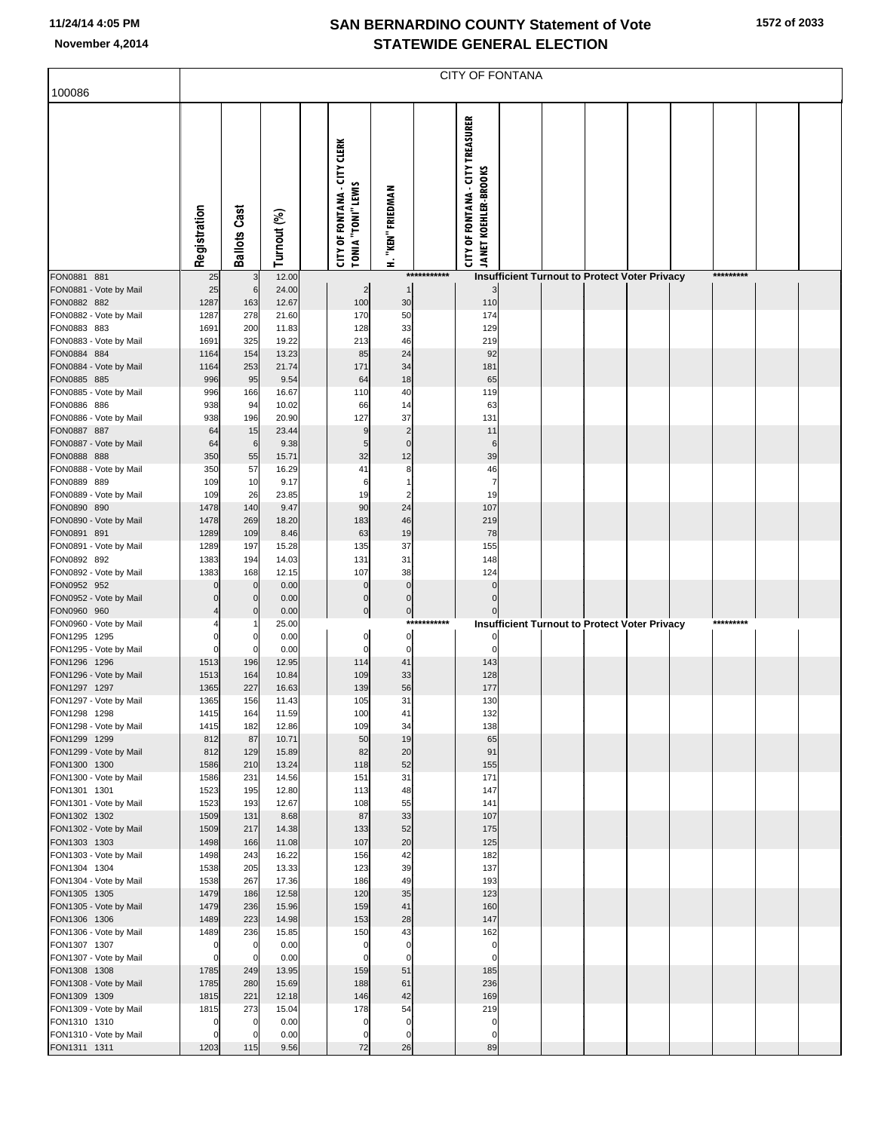| 100086                                 |                  | <b>CITY OF FONTANA</b> |                |  |                                                                  |                               |              |                                                                        |  |  |  |                                                      |  |           |  |
|----------------------------------------|------------------|------------------------|----------------|--|------------------------------------------------------------------|-------------------------------|--------------|------------------------------------------------------------------------|--|--|--|------------------------------------------------------|--|-----------|--|
|                                        |                  |                        |                |  |                                                                  |                               |              |                                                                        |  |  |  |                                                      |  |           |  |
|                                        | Registration     | <b>Ballots Cast</b>    | Turnout (%)    |  | <b>CITY OF FONTANA - CITY CLERK</b><br><b>TONIA "TONI" LEWIS</b> | H. "KEN" FRIEDMAN             |              | <b>CITY OF FONTANA - CITY TREASURER</b><br><b>JANET KOEHLER-BROOKS</b> |  |  |  |                                                      |  |           |  |
| FON0881 881                            | 25               | 3                      | 12.00          |  |                                                                  |                               | ************ |                                                                        |  |  |  | <b>Insufficient Turnout to Protect Voter Privacy</b> |  | ********* |  |
| FON0881 - Vote by Mail<br>FON0882 882  | 25<br>1287       | 6<br>163               | 24.00<br>12.67 |  | $\overline{2}$<br>100                                            | -1<br>30                      |              | 110                                                                    |  |  |  |                                                      |  |           |  |
| FON0882 - Vote by Mail                 | 1287             | 278                    | 21.60          |  | 170                                                              | 50                            |              | 174                                                                    |  |  |  |                                                      |  |           |  |
| FON0883 883                            | 1691             | 200                    | 11.83          |  | 128                                                              | 33                            |              | 129                                                                    |  |  |  |                                                      |  |           |  |
| FON0883 - Vote by Mail<br>FON0884 884  | 1691<br>1164     | 325<br>154             | 19.22<br>13.23 |  | 213<br>85                                                        | 46<br>24                      |              | 219<br>92                                                              |  |  |  |                                                      |  |           |  |
| FON0884 - Vote by Mail                 | 1164             | 253                    | 21.74          |  | 171                                                              | 34                            |              | 181                                                                    |  |  |  |                                                      |  |           |  |
| FON0885 885                            | 996              | 95                     | 9.54           |  | 64                                                               | 18                            |              | 65                                                                     |  |  |  |                                                      |  |           |  |
| FON0885 - Vote by Mail                 | 996              | 166                    | 16.67          |  | 110                                                              | 40                            |              | 119                                                                    |  |  |  |                                                      |  |           |  |
| FON0886 886<br>FON0886 - Vote by Mail  | 938<br>938       | 94<br>196              | 10.02<br>20.90 |  | 66<br>127                                                        | 14<br>37                      |              | 63<br>131                                                              |  |  |  |                                                      |  |           |  |
| FON0887 887                            | 64               | 15                     | 23.44          |  | 9                                                                | $\overline{2}$                |              | 11                                                                     |  |  |  |                                                      |  |           |  |
| FON0887 - Vote by Mail                 | 64               | $\,6$                  | 9.38           |  | 5                                                                | $\mathbf 0$                   |              | 6                                                                      |  |  |  |                                                      |  |           |  |
| FON0888 888<br>FON0888 - Vote by Mail  | 350<br>350       | 55<br>57               | 15.71<br>16.29 |  | 32<br>41                                                         | 12<br>8                       |              | 39<br>46                                                               |  |  |  |                                                      |  |           |  |
| FON0889 889                            | 109              | 10                     | 9.17           |  | 6                                                                | $\mathbf{1}$                  |              | $\overline{7}$                                                         |  |  |  |                                                      |  |           |  |
| FON0889 - Vote by Mail                 | 109              | 26                     | 23.85          |  | 19                                                               | $\overline{c}$                |              | 19                                                                     |  |  |  |                                                      |  |           |  |
| FON0890 890                            | 1478             | 140                    | 9.47           |  | 90                                                               | 24                            |              | 107                                                                    |  |  |  |                                                      |  |           |  |
| FON0890 - Vote by Mail<br>FON0891 891  | 1478<br>1289     | 269<br>109             | 18.20<br>8.46  |  | 183<br>63                                                        | 46<br>19                      |              | 219<br>78                                                              |  |  |  |                                                      |  |           |  |
| FON0891 - Vote by Mail                 | 1289             | 197                    | 15.28          |  | 135                                                              | 37                            |              | 155                                                                    |  |  |  |                                                      |  |           |  |
| FON0892 892                            | 1383             | 194                    | 14.03          |  | 131                                                              | 31                            |              | 148                                                                    |  |  |  |                                                      |  |           |  |
| FON0892 - Vote by Mail<br>FON0952 952  | 1383             | 168<br>$\mathbf 0$     | 12.15          |  | 107<br>0                                                         | 38<br>$\pmb{0}$               |              | 124                                                                    |  |  |  |                                                      |  |           |  |
| FON0952 - Vote by Mail                 |                  | $\mathbf 0$            | 0.00<br>0.00   |  | $\mathbf 0$                                                      | $\pmb{0}$                     |              | $\Omega$                                                               |  |  |  |                                                      |  |           |  |
| FON0960 960                            |                  | 0                      | 0.00           |  | 0                                                                | $\mathbf{0}$                  |              |                                                                        |  |  |  |                                                      |  |           |  |
| FON0960 - Vote by Mail                 |                  |                        | 25.00          |  |                                                                  |                               | ***********  |                                                                        |  |  |  | <b>Insufficient Turnout to Protect Voter Privacy</b> |  | ********* |  |
| FON1295 1295<br>FON1295 - Vote by Mail | 0<br>0           | 0<br>C.                | 0.00<br>0.00   |  | $\pmb{0}$<br>$\mathbf 0$                                         | $\overline{0}$<br>$\mathbf 0$ |              |                                                                        |  |  |  |                                                      |  |           |  |
| FON1296 1296                           | 1513             | 196                    | 12.95          |  | 114                                                              | 41                            |              | 143                                                                    |  |  |  |                                                      |  |           |  |
| FON1296 - Vote by Mail                 | 1513             | 164                    | 10.84          |  | 109                                                              | 33                            |              | 128                                                                    |  |  |  |                                                      |  |           |  |
| FON1297 1297<br>FON1297 - Vote by Mail | 1365<br>1365     | 227<br>156             | 16.63<br>11.43 |  | 139<br>105                                                       | 56<br>31                      |              | 177<br>130                                                             |  |  |  |                                                      |  |           |  |
| FON1298 1298                           | 1415             | 164                    | 11.59          |  | 100                                                              | 41                            |              | 132                                                                    |  |  |  |                                                      |  |           |  |
| FON1298 - Vote by Mail                 | 1415             | 182                    | 12.86          |  | 109                                                              | 34                            |              | 138                                                                    |  |  |  |                                                      |  |           |  |
| FON1299 1299                           | 812              | 87                     | 10.71          |  | 50                                                               | 19                            |              | 65                                                                     |  |  |  |                                                      |  |           |  |
| FON1299 - Vote by Mail<br>FON1300 1300 | 812<br>1586      | 129<br>210             | 15.89<br>13.24 |  | 82<br>118                                                        | 20<br>52                      |              | 91<br>155                                                              |  |  |  |                                                      |  |           |  |
| FON1300 - Vote by Mail                 | 1586             | 231                    | 14.56          |  | 151                                                              | 31                            |              | 171                                                                    |  |  |  |                                                      |  |           |  |
| FON1301 1301                           | 1523             | 195                    | 12.80          |  | 113                                                              | 48                            |              | 147                                                                    |  |  |  |                                                      |  |           |  |
| FON1301 - Vote by Mail<br>FON1302 1302 | 1523<br>1509     | 193<br>131             | 12.67<br>8.68  |  | 108<br>87                                                        | 55<br>33                      |              | 141<br>107                                                             |  |  |  |                                                      |  |           |  |
| FON1302 - Vote by Mail                 | 1509             | 217                    | 14.38          |  | 133                                                              | 52                            |              | 175                                                                    |  |  |  |                                                      |  |           |  |
| FON1303 1303                           | 1498             | 166                    | 11.08          |  | 107                                                              | 20                            |              | 125                                                                    |  |  |  |                                                      |  |           |  |
| FON1303 - Vote by Mail<br>FON1304 1304 | 1498<br>1538     | 243<br>205             | 16.22<br>13.33 |  | 156<br>123                                                       | 42<br>39                      |              | 182<br>137                                                             |  |  |  |                                                      |  |           |  |
| FON1304 - Vote by Mail                 | 1538             | 267                    | 17.36          |  | 186                                                              | 49                            |              | 193                                                                    |  |  |  |                                                      |  |           |  |
| FON1305 1305                           | 1479             | 186                    | 12.58          |  | 120                                                              | 35                            |              | 123                                                                    |  |  |  |                                                      |  |           |  |
| FON1305 - Vote by Mail                 | 1479             | 236                    | 15.96          |  | 159                                                              | 41                            |              | 160                                                                    |  |  |  |                                                      |  |           |  |
| FON1306 1306<br>FON1306 - Vote by Mail | 1489<br>1489     | 223<br>236             | 14.98<br>15.85 |  | 153<br>150                                                       | 28<br>43                      |              | 147<br>162                                                             |  |  |  |                                                      |  |           |  |
| FON1307 1307                           | $\mathbf 0$      | $\mathbf 0$            | 0.00           |  | 0                                                                | $\mathbf 0$                   |              | 0                                                                      |  |  |  |                                                      |  |           |  |
| FON1307 - Vote by Mail                 | $\mathbf 0$      | $\mathbf 0$            | 0.00           |  | $\mathbf 0$                                                      | $\mathbf 0$                   |              | $\mathbf 0$                                                            |  |  |  |                                                      |  |           |  |
| FON1308 1308<br>FON1308 - Vote by Mail | 1785<br>1785     | 249<br>280             | 13.95<br>15.69 |  | 159<br>188                                                       | 51<br>61                      |              | 185<br>236                                                             |  |  |  |                                                      |  |           |  |
| FON1309 1309                           | 1815             | 221                    | 12.18          |  | 146                                                              | 42                            |              | 169                                                                    |  |  |  |                                                      |  |           |  |
| FON1309 - Vote by Mail                 | 1815             | 273                    | 15.04          |  | 178                                                              | 54                            |              | 219                                                                    |  |  |  |                                                      |  |           |  |
| FON1310 1310                           | $\Omega$         | $\mathbf 0$            | 0.00           |  | 0                                                                | $\mathbf 0$                   |              | 0                                                                      |  |  |  |                                                      |  |           |  |
| FON1310 - Vote by Mail<br>FON1311 1311 | $\Omega$<br>1203 | 0<br>115               | 0.00<br>9.56   |  | 0<br>72                                                          | $\mathbf 0$<br>26             |              | 0<br>89                                                                |  |  |  |                                                      |  |           |  |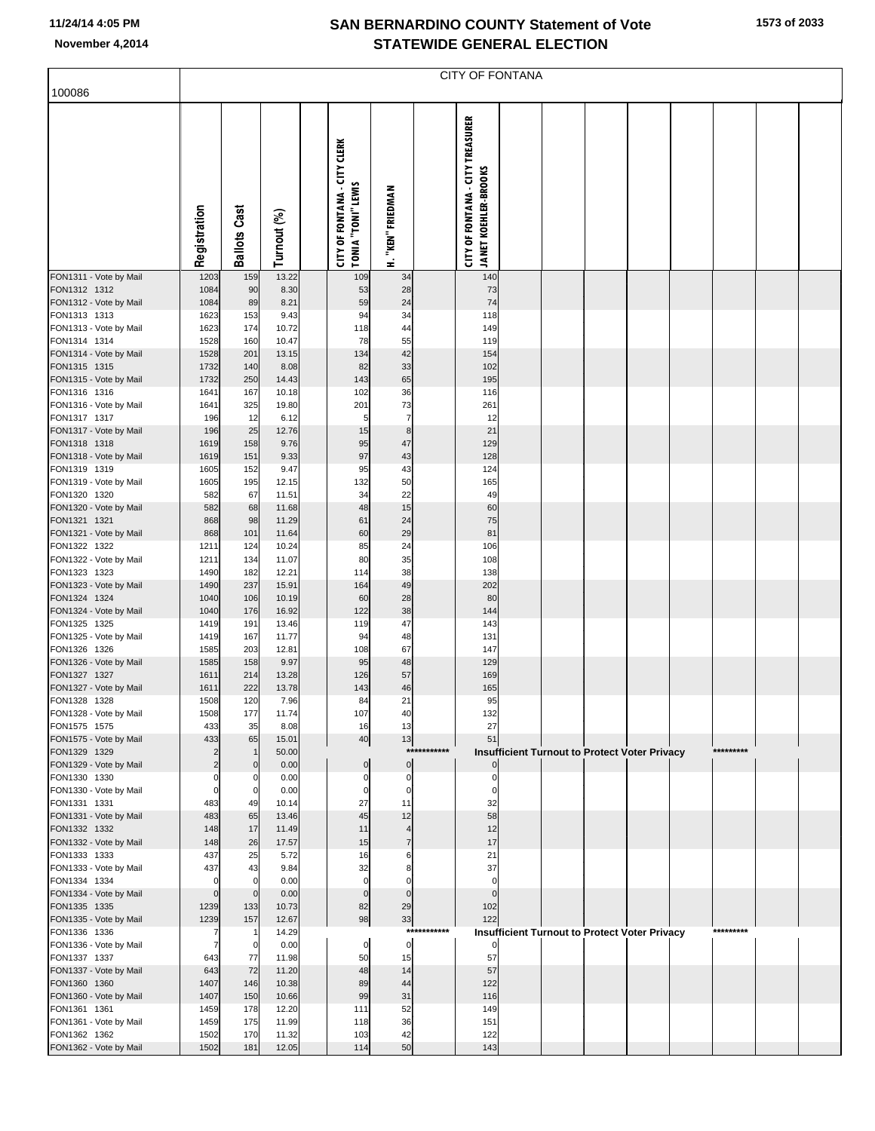|  | 1573 of 2033 |
|--|--------------|
|  |              |

| 100086                                 | <b>CITY OF FONTANA</b> |                               |                |  |                                                                  |                   |             |                                                                        |  |  |  |                                                      |  |           |  |  |
|----------------------------------------|------------------------|-------------------------------|----------------|--|------------------------------------------------------------------|-------------------|-------------|------------------------------------------------------------------------|--|--|--|------------------------------------------------------|--|-----------|--|--|
|                                        |                        |                               |                |  |                                                                  |                   |             |                                                                        |  |  |  |                                                      |  |           |  |  |
|                                        | Registration           | <b>Ballots Cast</b>           | Turnout (%)    |  | <b>CITY OF FONTANA - CITY CLERK</b><br><b>TONIA "TONI" LEWIS</b> | H. "KEN" FRIEDMAN |             | <b>CITY OF FONTANA - CITY TREASURER</b><br><b>JANET KOEHLER-BROOKS</b> |  |  |  |                                                      |  |           |  |  |
| FON1311 - Vote by Mail                 | 1203                   | 159                           | 13.22          |  | 109                                                              | 34                |             | 140                                                                    |  |  |  |                                                      |  |           |  |  |
| FON1312 1312<br>FON1312 - Vote by Mail | 1084<br>1084           | 90<br>89                      | 8.30<br>8.21   |  | 53<br>59                                                         | 28<br>24          |             | 73<br>74                                                               |  |  |  |                                                      |  |           |  |  |
| FON1313 1313                           | 1623                   | 153                           | 9.43           |  | 94                                                               | 34                |             | 118                                                                    |  |  |  |                                                      |  |           |  |  |
| FON1313 - Vote by Mail                 | 1623                   | 174                           | 10.72          |  | 118                                                              | 44                |             | 149                                                                    |  |  |  |                                                      |  |           |  |  |
| FON1314 1314<br>FON1314 - Vote by Mail | 1528<br>1528           | 160<br>201                    | 10.47<br>13.15 |  | 78<br>134                                                        | 55<br>42          |             | 119<br>154                                                             |  |  |  |                                                      |  |           |  |  |
| FON1315 1315                           | 1732                   | 140                           | 8.08           |  | 82                                                               | 33                |             | 102                                                                    |  |  |  |                                                      |  |           |  |  |
| FON1315 - Vote by Mail                 | 1732                   | 250                           | 14.43          |  | 143                                                              | 65                |             | 195                                                                    |  |  |  |                                                      |  |           |  |  |
| FON1316 1316                           | 1641                   | 167                           | 10.18          |  | 102                                                              | 36                |             | 116                                                                    |  |  |  |                                                      |  |           |  |  |
| FON1316 - Vote by Mail<br>FON1317 1317 | 1641<br>196            | 325<br>12                     | 19.80<br>6.12  |  | 201<br>5                                                         | 73<br>7           |             | 261<br>12                                                              |  |  |  |                                                      |  |           |  |  |
| FON1317 - Vote by Mail                 | 196                    | 25                            | 12.76          |  | 15                                                               | 8                 |             | 21                                                                     |  |  |  |                                                      |  |           |  |  |
| FON1318 1318                           | 1619                   | 158                           | 9.76           |  | 95                                                               | 47                |             | 129                                                                    |  |  |  |                                                      |  |           |  |  |
| FON1318 - Vote by Mail<br>FON1319 1319 | 1619                   | 151                           | 9.33           |  | 97                                                               | 43                |             | 128                                                                    |  |  |  |                                                      |  |           |  |  |
| FON1319 - Vote by Mail                 | 1605<br>1605           | 152<br>195                    | 9.47<br>12.15  |  | 95<br>132                                                        | 43<br>50          |             | 124<br>165                                                             |  |  |  |                                                      |  |           |  |  |
| FON1320 1320                           | 582                    | 67                            | 11.51          |  | 34                                                               | 22                |             | 49                                                                     |  |  |  |                                                      |  |           |  |  |
| FON1320 - Vote by Mail                 | 582                    | 68                            | 11.68          |  | 48                                                               | 15                |             | 60                                                                     |  |  |  |                                                      |  |           |  |  |
| FON1321 1321<br>FON1321 - Vote by Mail | 868<br>868             | 98<br>101                     | 11.29<br>11.64 |  | 61<br>60                                                         | 24<br>29          |             | 75<br>81                                                               |  |  |  |                                                      |  |           |  |  |
| FON1322 1322                           | 1211                   | 124                           | 10.24          |  | 85                                                               | 24                |             | 106                                                                    |  |  |  |                                                      |  |           |  |  |
| FON1322 - Vote by Mail                 | 1211                   | 134                           | 11.07          |  | 80                                                               | 35                |             | 108                                                                    |  |  |  |                                                      |  |           |  |  |
| FON1323 1323                           | 1490                   | 182                           | 12.21          |  | 114                                                              | 38                |             | 138                                                                    |  |  |  |                                                      |  |           |  |  |
| FON1323 - Vote by Mail<br>FON1324 1324 | 1490<br>1040           | 237<br>106                    | 15.91<br>10.19 |  | 164<br>60                                                        | 49<br>28          |             | 202<br>80                                                              |  |  |  |                                                      |  |           |  |  |
| FON1324 - Vote by Mail                 | 1040                   | 176                           | 16.92          |  | 122                                                              | 38                |             | 144                                                                    |  |  |  |                                                      |  |           |  |  |
| FON1325 1325                           | 1419                   | 191                           | 13.46          |  | 119                                                              | 47                |             | 143                                                                    |  |  |  |                                                      |  |           |  |  |
| FON1325 - Vote by Mail<br>FON1326 1326 | 1419<br>1585           | 167<br>203                    | 11.77<br>12.81 |  | 94<br>108                                                        | 48<br>67          |             | 131<br>147                                                             |  |  |  |                                                      |  |           |  |  |
| FON1326 - Vote by Mail                 | 1585                   | 158                           | 9.97           |  | 95                                                               | 48                |             | 129                                                                    |  |  |  |                                                      |  |           |  |  |
| FON1327 1327                           | 1611                   | 214                           | 13.28          |  | 126                                                              | 57                |             | 169                                                                    |  |  |  |                                                      |  |           |  |  |
| FON1327 - Vote by Mail                 | 1611                   | 222                           | 13.78          |  | 143                                                              | 46                |             | 165                                                                    |  |  |  |                                                      |  |           |  |  |
| FON1328 1328<br>FON1328 - Vote by Mail | 1508<br>1508           | 120<br>177                    | 7.96<br>11.74  |  | 84<br>107                                                        | 21<br>40          |             | 95<br>132                                                              |  |  |  |                                                      |  |           |  |  |
| FON1575 1575                           | 433                    | 35                            | 8.08           |  | 16                                                               | 13                |             | 27                                                                     |  |  |  |                                                      |  |           |  |  |
| FON1575 - Vote by Mail                 | 433                    | 65                            | 15.01          |  | 40                                                               | 13                |             | 51                                                                     |  |  |  |                                                      |  |           |  |  |
| FON1329 1329<br>FON1329 - Vote by Mail | $\overline{2}$<br>2    | $\overline{1}$<br>$\mathbf 0$ | 50.00<br>0.00  |  | $\mathbf 0$                                                      | $\overline{0}$    | *********** |                                                                        |  |  |  | <b>Insufficient Turnout to Protect Voter Privacy</b> |  | ********* |  |  |
| FON1330 1330                           | 0                      | 0                             | 0.00           |  | $\Omega$                                                         | 0                 |             | 0                                                                      |  |  |  |                                                      |  |           |  |  |
| FON1330 - Vote by Mail                 | $\mathbf 0$            | $\mathbf 0$                   | 0.00           |  | $\mathbf 0$                                                      | 0                 |             | $\Omega$                                                               |  |  |  |                                                      |  |           |  |  |
| FON1331 1331                           | 483                    | 49                            | 10.14          |  | 27                                                               | 11                |             | 32                                                                     |  |  |  |                                                      |  |           |  |  |
| FON1331 - Vote by Mail<br>FON1332 1332 | 483<br>148             | 65<br>17                      | 13.46<br>11.49 |  | 45<br>11                                                         | 12<br>4           |             | 58<br>12                                                               |  |  |  |                                                      |  |           |  |  |
| FON1332 - Vote by Mail                 | 148                    | 26                            | 17.57          |  | 15                                                               | $\overline{7}$    |             | 17                                                                     |  |  |  |                                                      |  |           |  |  |
| FON1333 1333                           | 437                    | 25                            | 5.72           |  | 16                                                               | 6                 |             | 21                                                                     |  |  |  |                                                      |  |           |  |  |
| FON1333 - Vote by Mail<br>FON1334 1334 | 437<br>$\mathbf 0$     | 43<br>$\overline{0}$          | 9.84<br>0.00   |  | 32<br>$\mathbf 0$                                                | 8<br>0            |             | 37<br>0                                                                |  |  |  |                                                      |  |           |  |  |
| FON1334 - Vote by Mail                 | $\Omega$               | $\overline{0}$                | 0.00           |  | $\mathbf 0$                                                      | $\mathbf 0$       |             | $\mathbf{0}$                                                           |  |  |  |                                                      |  |           |  |  |
| FON1335 1335                           | 1239                   | 133                           | 10.73          |  | 82                                                               | 29                |             | 102                                                                    |  |  |  |                                                      |  |           |  |  |
| FON1335 - Vote by Mail                 | 1239                   | 157                           | 12.67          |  | 98                                                               | 33                | *********** | 122                                                                    |  |  |  |                                                      |  | ********* |  |  |
| FON1336 1336<br>FON1336 - Vote by Mail | 7<br>7                 | -1<br>$\overline{0}$          | 14.29<br>0.00  |  | 0                                                                | $\mathbf{0}$      |             |                                                                        |  |  |  | <b>Insufficient Turnout to Protect Voter Privacy</b> |  |           |  |  |
| FON1337 1337                           | 643                    | 77                            | 11.98          |  | 50                                                               | 15                |             | 57                                                                     |  |  |  |                                                      |  |           |  |  |
| FON1337 - Vote by Mail                 | 643                    | 72                            | 11.20          |  | 48                                                               | 14                |             | 57                                                                     |  |  |  |                                                      |  |           |  |  |
| FON1360 1360                           | 1407                   | 146                           | 10.38          |  | 89<br>99                                                         | 44<br>31          |             | 122                                                                    |  |  |  |                                                      |  |           |  |  |
| FON1360 - Vote by Mail<br>FON1361 1361 | 1407<br>1459           | 150<br>178                    | 10.66<br>12.20 |  | 111                                                              | 52                |             | 116<br>149                                                             |  |  |  |                                                      |  |           |  |  |
| FON1361 - Vote by Mail                 | 1459                   | 175                           | 11.99          |  | 118                                                              | 36                |             | 151                                                                    |  |  |  |                                                      |  |           |  |  |
| FON1362 1362                           | 1502                   | 170                           | 11.32          |  | 103                                                              | 42                |             | 122                                                                    |  |  |  |                                                      |  |           |  |  |
| FON1362 - Vote by Mail                 | 1502                   | 181                           | 12.05          |  | 114                                                              | 50                |             | 143                                                                    |  |  |  |                                                      |  |           |  |  |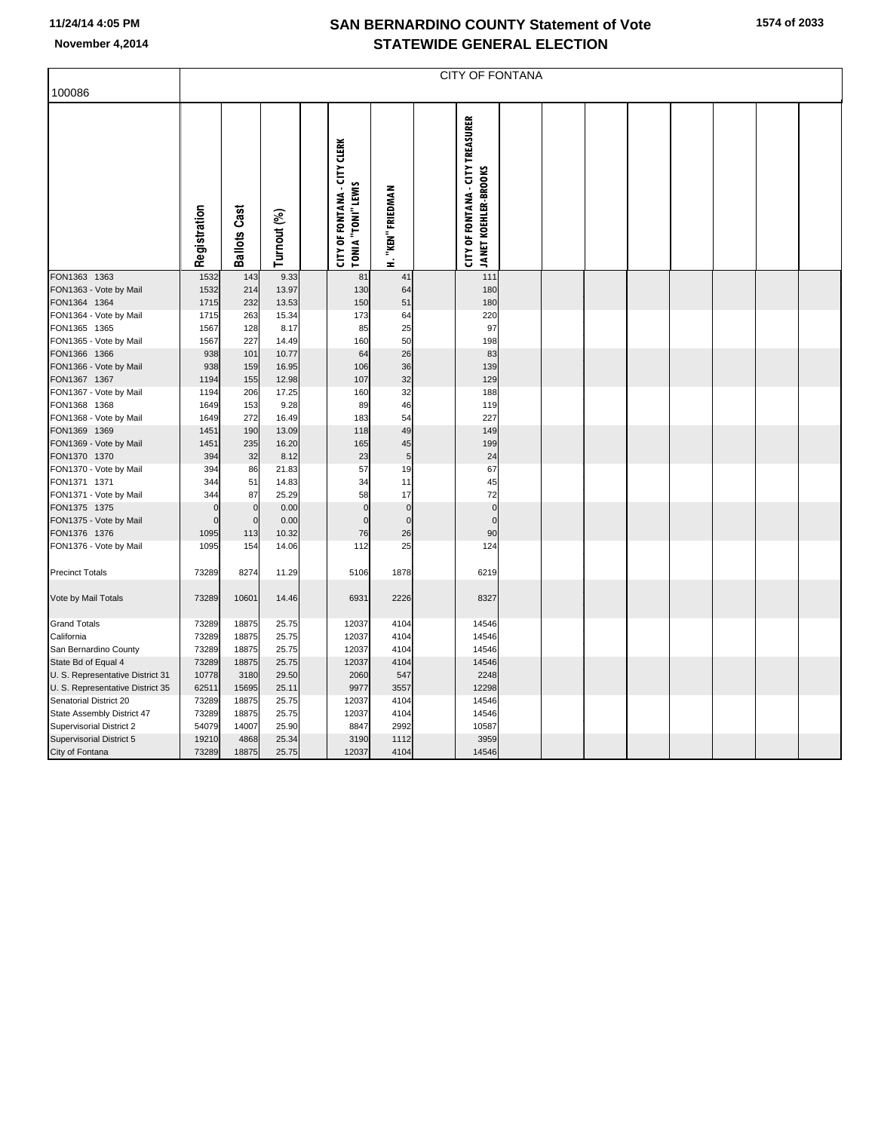|                                        | <b>CITY OF FONTANA</b> |                     |                |  |                                                                  |                   |  |                                                                        |  |  |  |  |  |  |  |  |
|----------------------------------------|------------------------|---------------------|----------------|--|------------------------------------------------------------------|-------------------|--|------------------------------------------------------------------------|--|--|--|--|--|--|--|--|
| 100086                                 |                        |                     |                |  |                                                                  |                   |  |                                                                        |  |  |  |  |  |  |  |  |
|                                        | Registration           | <b>Ballots Cast</b> | Turnout (%)    |  | <b>CITY OF FONTANA - CITY CLERK</b><br><b>TONIA "TONI" LEWIS</b> | H. "KEN" FRIEDMAN |  | <b>CITY OF FONTANA - CITY TREASURER</b><br><b>JANET KOEHLER-BROOKS</b> |  |  |  |  |  |  |  |  |
| FON1363 1363                           | 1532                   | 143                 | 9.33           |  | 81                                                               | 41                |  | 111                                                                    |  |  |  |  |  |  |  |  |
| FON1363 - Vote by Mail                 | 1532                   | 214                 | 13.97          |  | 130                                                              | 64                |  | 180                                                                    |  |  |  |  |  |  |  |  |
| FON1364 1364                           | 1715                   | 232                 | 13.53          |  | 150                                                              | 51                |  | 180                                                                    |  |  |  |  |  |  |  |  |
| FON1364 - Vote by Mail                 | 1715                   | 263                 | 15.34          |  | 173                                                              | 64                |  | 220                                                                    |  |  |  |  |  |  |  |  |
| FON1365 1365                           | 1567                   | 128                 | 8.17           |  | 85                                                               | 25                |  | 97                                                                     |  |  |  |  |  |  |  |  |
| FON1365 - Vote by Mail                 | 1567                   | 227                 | 14.49          |  | 160                                                              | 50                |  | 198                                                                    |  |  |  |  |  |  |  |  |
| FON1366 1366                           | 938                    | 101                 | 10.77          |  | 64                                                               | 26                |  | 83                                                                     |  |  |  |  |  |  |  |  |
| FON1366 - Vote by Mail                 | 938                    | 159                 | 16.95          |  | 106                                                              | 36<br>32          |  | 139<br>129                                                             |  |  |  |  |  |  |  |  |
| FON1367 1367<br>FON1367 - Vote by Mail | 1194<br>1194           | 155<br>206          | 12.98<br>17.25 |  | 107<br>160                                                       | 32                |  | 188                                                                    |  |  |  |  |  |  |  |  |
| FON1368 1368                           | 1649                   | 153                 | 9.28           |  | 89                                                               | 46                |  | 119                                                                    |  |  |  |  |  |  |  |  |
| FON1368 - Vote by Mail                 | 1649                   | 272                 | 16.49          |  | 183                                                              | 54                |  | 227                                                                    |  |  |  |  |  |  |  |  |
| FON1369 1369                           | 1451                   | 190                 | 13.09          |  | 118                                                              | 49                |  | 149                                                                    |  |  |  |  |  |  |  |  |
| FON1369 - Vote by Mail                 | 1451                   | 235                 | 16.20          |  | 165                                                              | 45                |  | 199                                                                    |  |  |  |  |  |  |  |  |
| FON1370 1370                           | 394                    | 32                  | 8.12           |  | 23                                                               | 5                 |  | 24                                                                     |  |  |  |  |  |  |  |  |
| FON1370 - Vote by Mail                 | 394                    | 86                  | 21.83          |  | 57                                                               | 19                |  | 67                                                                     |  |  |  |  |  |  |  |  |
| FON1371 1371                           | 344                    | 51                  | 14.83          |  | 34                                                               | 11                |  | 45                                                                     |  |  |  |  |  |  |  |  |
| FON1371 - Vote by Mail                 | 344                    | 87                  | 25.29          |  | 58                                                               | 17                |  | 72                                                                     |  |  |  |  |  |  |  |  |
| FON1375 1375                           | $\epsilon$             | $\mathbf 0$         | 0.00           |  | $\mathbf{0}$                                                     | $\mathbf 0$       |  | $\mathbf 0$                                                            |  |  |  |  |  |  |  |  |
| FON1375 - Vote by Mail                 | $\Omega$               | $\mathbf 0$         | 0.00           |  | $\Omega$                                                         | $\mathbf 0$       |  | $\overline{0}$                                                         |  |  |  |  |  |  |  |  |
| FON1376 1376                           | 1095                   | 113                 | 10.32          |  | 76                                                               | 26                |  | 90                                                                     |  |  |  |  |  |  |  |  |
| FON1376 - Vote by Mail                 | 1095                   | 154                 | 14.06          |  | 112                                                              | 25                |  | 124                                                                    |  |  |  |  |  |  |  |  |
| <b>Precinct Totals</b>                 | 73289                  | 8274                | 11.29          |  | 5106                                                             | 1878              |  | 6219                                                                   |  |  |  |  |  |  |  |  |
| Vote by Mail Totals                    | 73289                  | 10601               | 14.46          |  | 6931                                                             | 2226              |  | 8327                                                                   |  |  |  |  |  |  |  |  |
| <b>Grand Totals</b>                    | 73289                  | 18875               | 25.75          |  | 12037                                                            | 4104              |  | 14546                                                                  |  |  |  |  |  |  |  |  |
| California                             | 73289                  | 18875               | 25.75          |  | 12037                                                            | 4104              |  | 14546                                                                  |  |  |  |  |  |  |  |  |
| San Bernardino County                  | 73289                  | 18875               | 25.75          |  | 12037                                                            | 4104              |  | 14546                                                                  |  |  |  |  |  |  |  |  |
| State Bd of Equal 4                    | 73289                  | 18875               | 25.75          |  | 12037                                                            | 4104              |  | 14546                                                                  |  |  |  |  |  |  |  |  |
| U. S. Representative District 31       | 10778                  | 3180                | 29.50          |  | 2060                                                             | 547               |  | 2248                                                                   |  |  |  |  |  |  |  |  |
| U. S. Representative District 35       | 62511                  | 15695               | 25.11          |  | 9977                                                             | 3557              |  | 12298                                                                  |  |  |  |  |  |  |  |  |
| Senatorial District 20                 | 73289                  | 18875               | 25.75          |  | 12037                                                            | 4104              |  | 14546                                                                  |  |  |  |  |  |  |  |  |
| State Assembly District 47             | 73289                  | 18875               | 25.75          |  | 12037                                                            | 4104              |  | 14546                                                                  |  |  |  |  |  |  |  |  |
| Supervisorial District 2               | 54079                  | 14007               | 25.90          |  | 8847                                                             | 2992              |  | 10587                                                                  |  |  |  |  |  |  |  |  |
| Supervisorial District 5               | 19210                  | 4868                | 25.34          |  | 3190                                                             | 1112              |  | 3959                                                                   |  |  |  |  |  |  |  |  |
| City of Fontana                        | 73289                  | 18875               | 25.75          |  | 12037                                                            | 4104              |  | 14546                                                                  |  |  |  |  |  |  |  |  |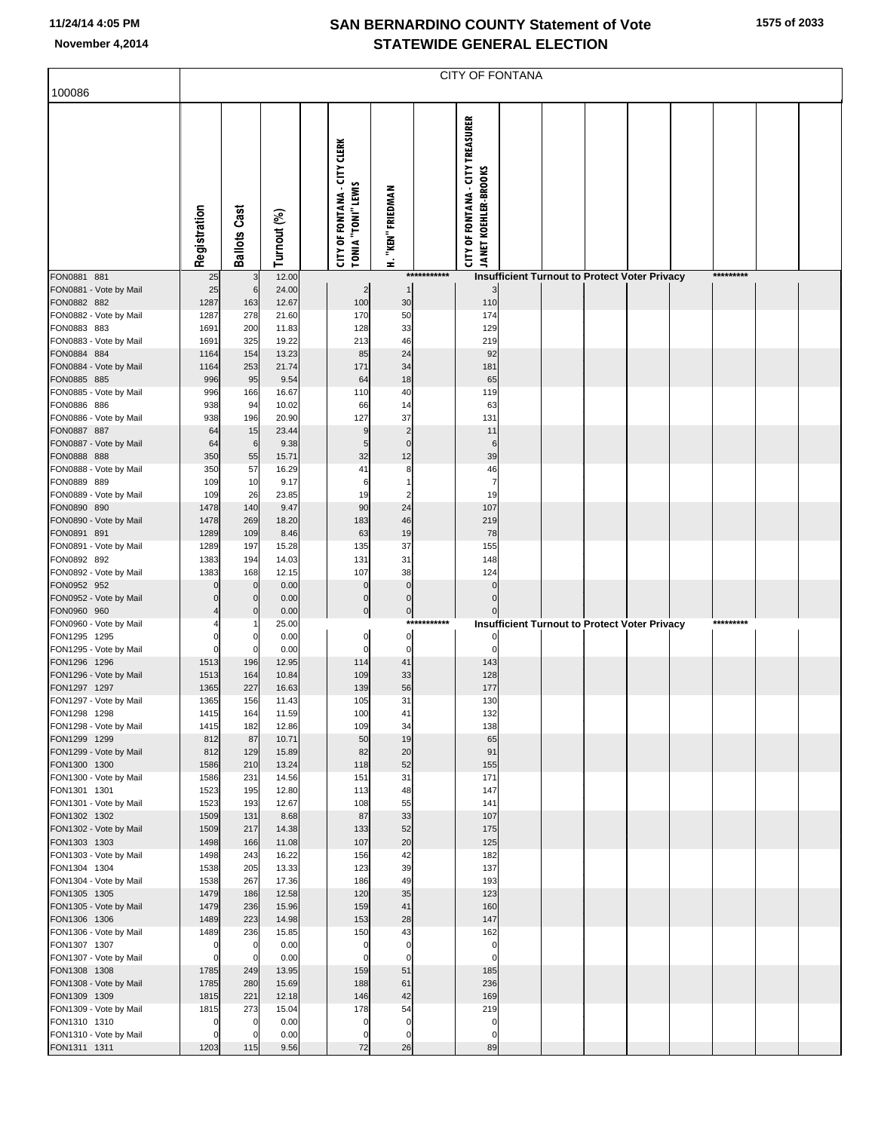|  |  | 1575 of 2033 |
|--|--|--------------|
|--|--|--------------|

|                                        | CITY OF FONTANA |                     |                |  |                                                                  |                            |             |                                                                        |  |  |  |                                                      |  |           |  |  |
|----------------------------------------|-----------------|---------------------|----------------|--|------------------------------------------------------------------|----------------------------|-------------|------------------------------------------------------------------------|--|--|--|------------------------------------------------------|--|-----------|--|--|
| 100086                                 |                 |                     |                |  |                                                                  |                            |             |                                                                        |  |  |  |                                                      |  |           |  |  |
|                                        | Registration    | <b>Ballots Cast</b> | Turnout (%)    |  | <b>CITY OF FONTANA - CITY CLERK</b><br><b>TONIA "TONI" LEWIS</b> | H. "KEN" FRIEDMAN          |             | <b>CITY OF FONTANA - CITY TREASURER</b><br><b>JANET KOEHLER-BROOKS</b> |  |  |  |                                                      |  |           |  |  |
| FON0881 881                            | 25              | 3                   | 12.00          |  |                                                                  |                            | *********** |                                                                        |  |  |  | Insufficient Turnout to Protect Voter Privacy        |  | ********* |  |  |
| FON0881 - Vote by Mail<br>FON0882 882  | 25<br>1287      | 6<br>163            | 24.00<br>12.67 |  | $\overline{c}$<br>100                                            | 30                         |             | $\overline{3}$<br>110                                                  |  |  |  |                                                      |  |           |  |  |
| FON0882 - Vote by Mail                 | 1287            | 278                 | 21.60          |  | 170                                                              | 50                         |             | 174                                                                    |  |  |  |                                                      |  |           |  |  |
| FON0883 883                            | 1691            | 200                 | 11.83          |  | 128                                                              | 33                         |             | 129                                                                    |  |  |  |                                                      |  |           |  |  |
| FON0883 - Vote by Mail<br>FON0884 884  | 1691<br>1164    | 325<br>154          | 19.22<br>13.23 |  | 213<br>85                                                        | 46<br>24                   |             | 219<br>92                                                              |  |  |  |                                                      |  |           |  |  |
| FON0884 - Vote by Mail                 | 1164            | 253                 | 21.74          |  | 171                                                              | 34                         |             | 181                                                                    |  |  |  |                                                      |  |           |  |  |
| FON0885 885                            | 996             | 95                  | 9.54           |  | 64                                                               | 18                         |             | 65                                                                     |  |  |  |                                                      |  |           |  |  |
| FON0885 - Vote by Mail                 | 996             | 166                 | 16.67          |  | 110                                                              | 40                         |             | 119                                                                    |  |  |  |                                                      |  |           |  |  |
| FON0886 886<br>FON0886 - Vote by Mail  | 938<br>938      | 94<br>196           | 10.02<br>20.90 |  | 66<br>127                                                        | 14<br>37                   |             | 63<br>131                                                              |  |  |  |                                                      |  |           |  |  |
| FON0887 887                            | 64              | 15                  | 23.44          |  | 9                                                                | $\overline{c}$             |             | 11                                                                     |  |  |  |                                                      |  |           |  |  |
| FON0887 - Vote by Mail                 | 64              | 6                   | 9.38           |  | 5                                                                | $\mathbf 0$                |             | 6                                                                      |  |  |  |                                                      |  |           |  |  |
| FON0888 888<br>FON0888 - Vote by Mail  | 350<br>350      | 55<br>57            | 15.71          |  | 32<br>41                                                         | 12<br>8                    |             | 39<br>46                                                               |  |  |  |                                                      |  |           |  |  |
| FON0889 889                            | 109             | 10                  | 16.29<br>9.17  |  | 6                                                                | 1                          |             | 7                                                                      |  |  |  |                                                      |  |           |  |  |
| FON0889 - Vote by Mail                 | 109             | 26                  | 23.85          |  | 19                                                               | $\overline{c}$             |             | 19                                                                     |  |  |  |                                                      |  |           |  |  |
| FON0890 890                            | 1478            | 140                 | 9.47           |  | 90                                                               | 24                         |             | 107                                                                    |  |  |  |                                                      |  |           |  |  |
| FON0890 - Vote by Mail<br>FON0891 891  | 1478<br>1289    | 269<br>109          | 18.20<br>8.46  |  | 183<br>63                                                        | 46<br>19                   |             | 219<br>78                                                              |  |  |  |                                                      |  |           |  |  |
| FON0891 - Vote by Mail                 | 1289            | 197                 | 15.28          |  | 135                                                              | 37                         |             | 155                                                                    |  |  |  |                                                      |  |           |  |  |
| FON0892 892                            | 1383            | 194                 | 14.03          |  | 131                                                              | 31                         |             | 148                                                                    |  |  |  |                                                      |  |           |  |  |
| FON0892 - Vote by Mail<br>FON0952 952  | 1383            | 168<br>$\mathbf 0$  | 12.15<br>0.00  |  | 107<br>0                                                         | 38<br>$\mathbf 0$          |             | 124<br>$\mathbf{0}$                                                    |  |  |  |                                                      |  |           |  |  |
| FON0952 - Vote by Mail                 |                 | $\bf 0$             | 0.00           |  | 0                                                                | $\pmb{0}$                  |             | $\mathbf 0$                                                            |  |  |  |                                                      |  |           |  |  |
| FON0960 960                            |                 | $\mathbf 0$         | 0.00           |  | 0                                                                | $\overline{0}$             |             | $\mathbf 0$                                                            |  |  |  |                                                      |  |           |  |  |
| FON0960 - Vote by Mail                 |                 |                     | 25.00          |  |                                                                  |                            | *********** |                                                                        |  |  |  | <b>Insufficient Turnout to Protect Voter Privacy</b> |  | ********* |  |  |
| FON1295 1295<br>FON1295 - Vote by Mail |                 | 0<br>0              | 0.00<br>0.00   |  | 0<br>0                                                           | 0<br>$\mathbf 0$           |             | 0                                                                      |  |  |  |                                                      |  |           |  |  |
| FON1296 1296                           | 1513            | 196                 | 12.95          |  | 114                                                              | 41                         |             | 143                                                                    |  |  |  |                                                      |  |           |  |  |
| FON1296 - Vote by Mail                 | 1513            | 164                 | 10.84          |  | 109                                                              | 33                         |             | 128                                                                    |  |  |  |                                                      |  |           |  |  |
| FON1297 1297<br>FON1297 - Vote by Mail | 1365<br>1365    | 227<br>156          | 16.63<br>11.43 |  | 139<br>105                                                       | 56<br>31                   |             | 177<br>130                                                             |  |  |  |                                                      |  |           |  |  |
| FON1298 1298                           | 1415            | 164                 | 11.59          |  | 100                                                              | 41                         |             | 132                                                                    |  |  |  |                                                      |  |           |  |  |
| FON1298 - Vote by Mail                 | 1415            | 182                 | 12.86          |  | 109                                                              | 34                         |             | 138                                                                    |  |  |  |                                                      |  |           |  |  |
| FON1299 1299<br>FON1299 - Vote by Mail | 812<br>812      | 87<br>129           | 10.71<br>15.89 |  | 50<br>82                                                         | 19<br>20                   |             | 65<br>91                                                               |  |  |  |                                                      |  |           |  |  |
| FON1300 1300                           | 1586            | 210                 | 13.24          |  | 118                                                              | 52                         |             | 155                                                                    |  |  |  |                                                      |  |           |  |  |
| FON1300 - Vote by Mail                 | 1586            | 231                 | 14.56          |  | 151                                                              | 31                         |             | 171                                                                    |  |  |  |                                                      |  |           |  |  |
| FON1301 1301                           | 1523            | 195                 | 12.80          |  | 113                                                              | 48                         |             | 147                                                                    |  |  |  |                                                      |  |           |  |  |
| FON1301 - Vote by Mail<br>FON1302 1302 | 1523<br>1509    | 193<br>131          | 12.67<br>8.68  |  | 108<br>87                                                        | 55<br>33                   |             | 141<br>107                                                             |  |  |  |                                                      |  |           |  |  |
| FON1302 - Vote by Mail                 | 1509            | 217                 | 14.38          |  | 133                                                              | 52                         |             | 175                                                                    |  |  |  |                                                      |  |           |  |  |
| FON1303 1303                           | 1498            | 166                 | 11.08          |  | 107                                                              | 20                         |             | 125                                                                    |  |  |  |                                                      |  |           |  |  |
| FON1303 - Vote by Mail<br>FON1304 1304 | 1498<br>1538    | 243<br>205          | 16.22<br>13.33 |  | 156<br>123                                                       | 42<br>39                   |             | 182<br>137                                                             |  |  |  |                                                      |  |           |  |  |
| FON1304 - Vote by Mail                 | 1538            | 267                 | 17.36          |  | 186                                                              | 49                         |             | 193                                                                    |  |  |  |                                                      |  |           |  |  |
| FON1305 1305                           | 1479            | 186                 | 12.58          |  | 120                                                              | 35                         |             | 123                                                                    |  |  |  |                                                      |  |           |  |  |
| FON1305 - Vote by Mail<br>FON1306 1306 | 1479            | 236<br>223          | 15.96          |  | 159                                                              | 41<br>28                   |             | 160<br>147                                                             |  |  |  |                                                      |  |           |  |  |
| FON1306 - Vote by Mail                 | 1489<br>1489    | 236                 | 14.98<br>15.85 |  | 153<br>150                                                       | 43                         |             | 162                                                                    |  |  |  |                                                      |  |           |  |  |
| FON1307 1307                           | 0               | $\overline{0}$      | 0.00           |  | 0                                                                | $\mathbf 0$                |             | 0                                                                      |  |  |  |                                                      |  |           |  |  |
| FON1307 - Vote by Mail                 | 0               | $\overline{0}$      | 0.00           |  | $\mathbf 0$                                                      | $\mathbf 0$                |             | $\overline{0}$                                                         |  |  |  |                                                      |  |           |  |  |
| FON1308 1308<br>FON1308 - Vote by Mail | 1785<br>1785    | 249<br>280          | 13.95<br>15.69 |  | 159<br>188                                                       | 51<br>61                   |             | 185<br>236                                                             |  |  |  |                                                      |  |           |  |  |
| FON1309 1309                           | 1815            | 221                 | 12.18          |  | 146                                                              | 42                         |             | 169                                                                    |  |  |  |                                                      |  |           |  |  |
| FON1309 - Vote by Mail                 | 1815            | 273                 | 15.04          |  | 178                                                              | 54                         |             | 219                                                                    |  |  |  |                                                      |  |           |  |  |
| FON1310 1310                           |                 | 0                   | 0.00<br>0.00   |  | 0                                                                | $\mathbf 0$<br>$\mathbf 0$ |             | 0<br>$\mathbf 0$                                                       |  |  |  |                                                      |  |           |  |  |
| FON1310 - Vote by Mail<br>FON1311 1311 | 1203            | 0<br>115            | 9.56           |  | 0<br>72                                                          | 26                         |             | 89                                                                     |  |  |  |                                                      |  |           |  |  |
|                                        |                 |                     |                |  |                                                                  |                            |             |                                                                        |  |  |  |                                                      |  |           |  |  |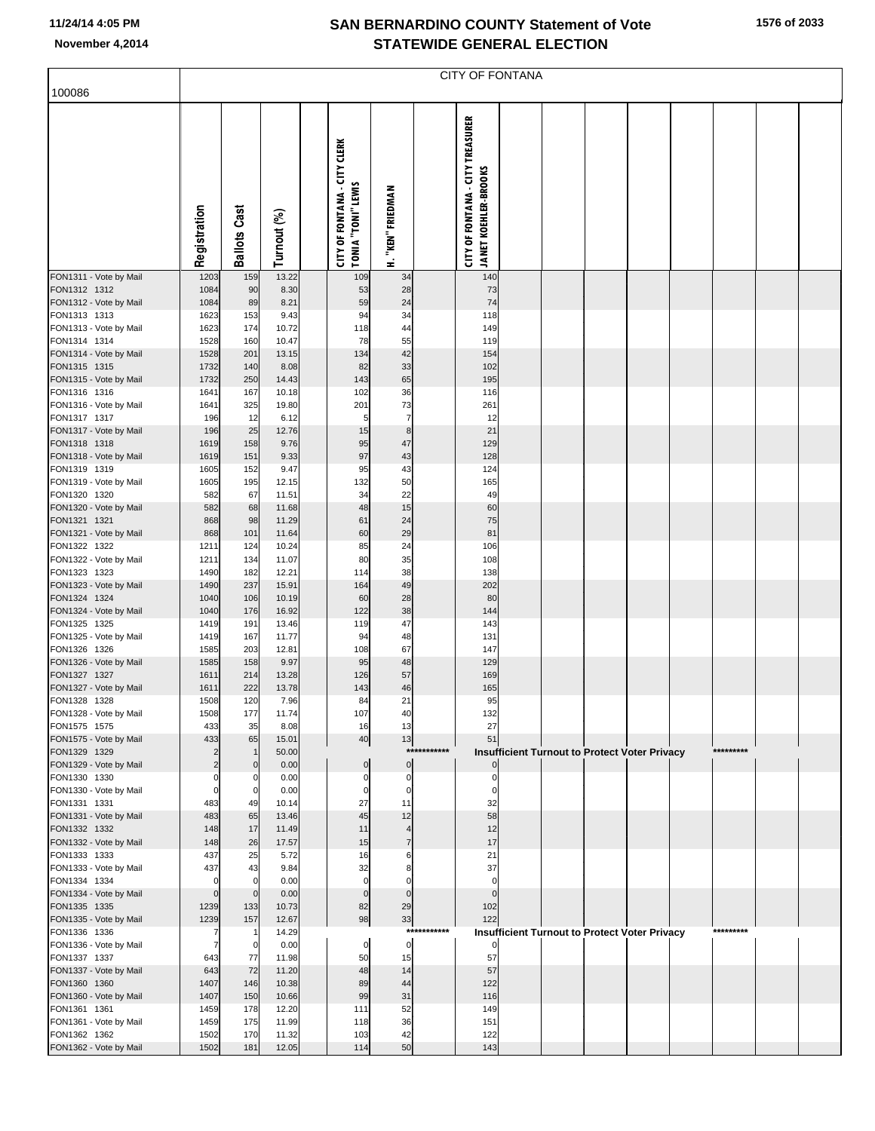| 100086                                 | <b>CITY OF FONTANA</b>        |                     |                |  |                                                           |                            |             |                                                                        |  |  |                                               |  |  |           |  |  |
|----------------------------------------|-------------------------------|---------------------|----------------|--|-----------------------------------------------------------|----------------------------|-------------|------------------------------------------------------------------------|--|--|-----------------------------------------------|--|--|-----------|--|--|
|                                        |                               |                     |                |  |                                                           |                            |             |                                                                        |  |  |                                               |  |  |           |  |  |
|                                        | Registration                  | <b>Ballots Cast</b> | Turnout (%)    |  | <b>CITY OF FONTANA - CITY CLERK</b><br>TONIA "TONI" LEWIS | H. "KEN" FRIEDMAN          |             | <b>CITY OF FONTANA - CITY TREASURER</b><br><b>JANET KOEHLER-BROOKS</b> |  |  |                                               |  |  |           |  |  |
| FON1311 - Vote by Mail                 | 1203                          | 159                 | 13.22          |  | 109                                                       | 34                         |             | 140                                                                    |  |  |                                               |  |  |           |  |  |
| FON1312 1312<br>FON1312 - Vote by Mail | 1084<br>1084                  | 90<br>89            | 8.30<br>8.21   |  | 53<br>59                                                  | 28<br>24                   |             | 73<br>74                                                               |  |  |                                               |  |  |           |  |  |
| FON1313 1313                           | 1623                          | 153                 | 9.43           |  | 94                                                        | 34                         |             | 118                                                                    |  |  |                                               |  |  |           |  |  |
| FON1313 - Vote by Mail<br>FON1314 1314 | 1623<br>1528                  | 174<br>160          | 10.72<br>10.47 |  | 118<br>78                                                 | 44<br>55                   |             | 149<br>119                                                             |  |  |                                               |  |  |           |  |  |
| FON1314 - Vote by Mail                 | 1528                          | 201                 | 13.15          |  | 134                                                       | 42                         |             | 154                                                                    |  |  |                                               |  |  |           |  |  |
| FON1315 1315                           | 1732                          | 140                 | 8.08           |  | 82                                                        | 33                         |             | 102                                                                    |  |  |                                               |  |  |           |  |  |
| FON1315 - Vote by Mail<br>FON1316 1316 | 1732<br>1641                  | 250<br>167          | 14.43<br>10.18 |  | 143<br>102                                                | 65<br>36                   |             | 195<br>116                                                             |  |  |                                               |  |  |           |  |  |
| FON1316 - Vote by Mail                 | 1641                          | 325                 | 19.80          |  | 201                                                       | 73                         |             | 261                                                                    |  |  |                                               |  |  |           |  |  |
| FON1317 1317                           | 196                           | 12                  | 6.12           |  | 5                                                         | $\overline{7}$             |             | 12                                                                     |  |  |                                               |  |  |           |  |  |
| FON1317 - Vote by Mail<br>FON1318 1318 | 196<br>1619                   | 25<br>158           | 12.76<br>9.76  |  | 15<br>95                                                  | 8<br>47                    |             | 21<br>129                                                              |  |  |                                               |  |  |           |  |  |
| FON1318 - Vote by Mail                 | 1619                          | 151                 | 9.33           |  | 97                                                        | 43                         |             | 128                                                                    |  |  |                                               |  |  |           |  |  |
| FON1319 1319                           | 1605                          | 152                 | 9.47           |  | 95                                                        | 43                         |             | 124                                                                    |  |  |                                               |  |  |           |  |  |
| FON1319 - Vote by Mail<br>FON1320 1320 | 1605<br>582                   | 195<br>67           | 12.15<br>11.51 |  | 132<br>34                                                 | 50<br>22                   |             | 165<br>49                                                              |  |  |                                               |  |  |           |  |  |
| FON1320 - Vote by Mail                 | 582                           | 68                  | 11.68          |  | 48                                                        | 15                         |             | 60                                                                     |  |  |                                               |  |  |           |  |  |
| FON1321 1321                           | 868                           | 98                  | 11.29          |  | 61                                                        | 24                         |             | 75<br>81                                                               |  |  |                                               |  |  |           |  |  |
| FON1321 - Vote by Mail<br>FON1322 1322 | 868<br>1211                   | 101<br>124          | 11.64<br>10.24 |  | 60<br>85                                                  | 29<br>24                   |             | 106                                                                    |  |  |                                               |  |  |           |  |  |
| FON1322 - Vote by Mail                 | 1211                          | 134                 | 11.07          |  | 80                                                        | 35                         |             | 108                                                                    |  |  |                                               |  |  |           |  |  |
| FON1323 1323<br>FON1323 - Vote by Mail | 1490<br>1490                  | 182<br>237          | 12.21<br>15.91 |  | 114<br>164                                                | 38<br>49                   |             | 138<br>202                                                             |  |  |                                               |  |  |           |  |  |
| FON1324 1324                           | 1040                          | 106                 | 10.19          |  | 60                                                        | 28                         |             | 80                                                                     |  |  |                                               |  |  |           |  |  |
| FON1324 - Vote by Mail                 | 1040                          | 176                 | 16.92          |  | 122                                                       | 38                         |             | 144                                                                    |  |  |                                               |  |  |           |  |  |
| FON1325 1325<br>FON1325 - Vote by Mail | 1419<br>1419                  | 191<br>167          | 13.46<br>11.77 |  | 119<br>94                                                 | 47<br>48                   |             | 143<br>131                                                             |  |  |                                               |  |  |           |  |  |
| FON1326 1326                           | 1585                          | 203                 | 12.81          |  | 108                                                       | 67                         |             | 147                                                                    |  |  |                                               |  |  |           |  |  |
| FON1326 - Vote by Mail                 | 1585                          | 158                 | 9.97           |  | 95                                                        | 48                         |             | 129                                                                    |  |  |                                               |  |  |           |  |  |
| FON1327 1327<br>FON1327 - Vote by Mail | 1611<br>1611                  | 214<br>222          | 13.28<br>13.78 |  | 126<br>143                                                | 57<br>46                   |             | 169<br>165                                                             |  |  |                                               |  |  |           |  |  |
| FON1328 1328                           | 1508                          | 120                 | 7.96           |  | 84                                                        | 21                         |             | 95                                                                     |  |  |                                               |  |  |           |  |  |
| FON1328 - Vote by Mail                 | 1508                          | 177<br>35           | 11.74          |  | 107                                                       | 40                         |             | 132<br>27                                                              |  |  |                                               |  |  |           |  |  |
| FON1575 1575<br>FON1575 - Vote by Mail | 433<br>433                    | 65                  | 8.08<br>15.01  |  | 16<br>40                                                  | 13<br>13                   |             | 51                                                                     |  |  |                                               |  |  |           |  |  |
| FON1329 1329                           | $\overline{2}$                | $\mathbf{1}$        | 50.00          |  |                                                           |                            | *********** |                                                                        |  |  | Insufficient Turnout to Protect Voter Privacy |  |  | ********* |  |  |
| FON1329 - Vote by Mail<br>FON1330 1330 | $\overline{2}$<br>$\mathbf 0$ | $\mathbf 0$<br>0    | 0.00<br>0.00   |  | $\mathbf 0$<br>$\mathbf 0$                                | $\mathbf 0$<br>$\mathbf 0$ |             | 0                                                                      |  |  |                                               |  |  |           |  |  |
| FON1330 - Vote by Mail                 | $\mathbf 0$                   | $\mathbf 0$         | 0.00           |  | $\Omega$                                                  | $\mathbf 0$                |             | $\mathbf 0$                                                            |  |  |                                               |  |  |           |  |  |
| FON1331 1331                           | 483                           | 49                  | 10.14          |  | 27                                                        | 11                         |             | 32                                                                     |  |  |                                               |  |  |           |  |  |
| FON1331 - Vote by Mail<br>FON1332 1332 | 483<br>148                    | 65<br>17            | 13.46<br>11.49 |  | 45<br>11                                                  | 12<br>$\overline{4}$       |             | 58<br>12                                                               |  |  |                                               |  |  |           |  |  |
| FON1332 - Vote by Mail                 | 148                           | 26                  | 17.57          |  | 15                                                        | $\overline{7}$             |             | 17                                                                     |  |  |                                               |  |  |           |  |  |
| FON1333 1333                           | 437                           | 25                  | 5.72           |  | 16                                                        | 6                          |             | 21                                                                     |  |  |                                               |  |  |           |  |  |
| FON1333 - Vote by Mail<br>FON1334 1334 | 437<br>$\mathbf 0$            | 43<br>$\mathbf 0$   | 9.84<br>0.00   |  | 32<br>$\mathbf 0$                                         | 8<br>$\mathbf 0$           |             | 37<br>$\mathbf 0$                                                      |  |  |                                               |  |  |           |  |  |
| FON1334 - Vote by Mail                 | $\mathbf 0$                   | $\mathbf 0$         | 0.00           |  | $\mathbf{0}$                                              | $\Omega$                   |             | $\mathbf 0$                                                            |  |  |                                               |  |  |           |  |  |
| FON1335 1335                           | 1239                          | 133                 | 10.73          |  | 82                                                        | 29                         |             | 102<br>122                                                             |  |  |                                               |  |  |           |  |  |
| FON1335 - Vote by Mail<br>FON1336 1336 | 1239<br>7                     | 157<br>$\mathbf{1}$ | 12.67<br>14.29 |  | 98                                                        | 33                         | *********** |                                                                        |  |  | Insufficient Turnout to Protect Voter Privacy |  |  | ********* |  |  |
| FON1336 - Vote by Mail                 | $\overline{7}$                | $\mathbf 0$         | 0.00           |  | $\mathbf 0$                                               | $\mathbf 0$                |             | $\overline{0}$                                                         |  |  |                                               |  |  |           |  |  |
| FON1337 1337<br>FON1337 - Vote by Mail | 643<br>643                    | 77<br>72            | 11.98<br>11.20 |  | 50<br>48                                                  | 15<br>14                   |             | 57<br>57                                                               |  |  |                                               |  |  |           |  |  |
| FON1360 1360                           | 1407                          | 146                 | 10.38          |  | 89                                                        | 44                         |             | 122                                                                    |  |  |                                               |  |  |           |  |  |
| FON1360 - Vote by Mail                 | 1407                          | 150                 | 10.66          |  | 99                                                        | 31                         |             | 116                                                                    |  |  |                                               |  |  |           |  |  |
| FON1361 1361<br>FON1361 - Vote by Mail | 1459<br>1459                  | 178<br>175          | 12.20<br>11.99 |  | 111<br>118                                                | 52<br>36                   |             | 149<br>151                                                             |  |  |                                               |  |  |           |  |  |
| FON1362 1362                           | 1502                          | 170                 | 11.32          |  | 103                                                       | 42                         |             | 122                                                                    |  |  |                                               |  |  |           |  |  |
| FON1362 - Vote by Mail                 | 1502                          | 181                 | 12.05          |  | 114                                                       | 50                         |             | 143                                                                    |  |  |                                               |  |  |           |  |  |